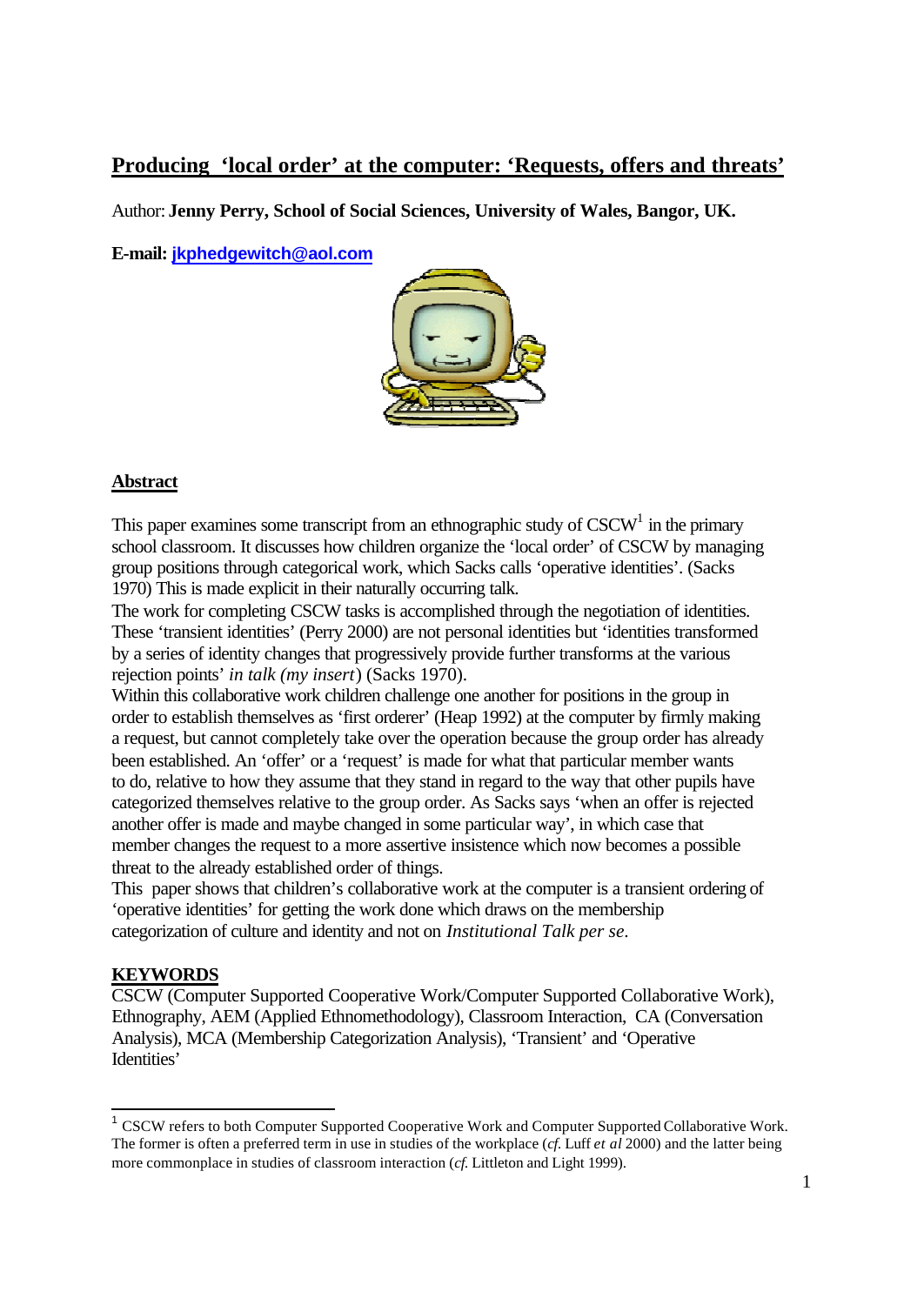# **Producing 'local order' at the computer: 'Requests, offers and threats'**

Author: **Jenny Perry, School of Social Sciences, University of Wales, Bangor, UK.**

**E-mail: jkphedgewitch@aol.com**



# **Abstract**

This paper examines some transcript from an ethnographic study of  $CSCW<sup>1</sup>$  in the primary school classroom. It discusses how children organize the 'local order' of CSCW by managing group positions through categorical work, which Sacks calls 'operative identities'. (Sacks 1970) This is made explicit in their naturally occurring talk.

The work for completing CSCW tasks is accomplished through the negotiation of identities. These 'transient identities' (Perry 2000) are not personal identities but 'identities transformed by a series of identity changes that progressively provide further transforms at the various rejection points' *in talk (my insert*) (Sacks 1970).

Within this collaborative work children challenge one another for positions in the group in order to establish themselves as 'first orderer' (Heap 1992) at the computer by firmly making a request, but cannot completely take over the operation because the group order has already been established. An 'offer' or a 'request' is made for what that particular member wants to do, relative to how they assume that they stand in regard to the way that other pupils have categorized themselves relative to the group order. As Sacks says 'when an offer is rejected another offer is made and maybe changed in some particular way', in which case that member changes the request to a more assertive insistence which now becomes a possible threat to the already established order of things.

This paper shows that children's collaborative work at the computer is a transient ordering of 'operative identities' for getting the work done which draws on the membership categorization of culture and identity and not on *Institutional Talk per se*.

# **KEYWORDS**

 $\overline{a}$ 

CSCW (Computer Supported Cooperative Work/Computer Supported Collaborative Work), Ethnography, AEM (Applied Ethnomethodology), Classroom Interaction, CA (Conversation Analysis), MCA (Membership Categorization Analysis), 'Transient' and 'Operative Identities'

<sup>&</sup>lt;sup>1</sup> CSCW refers to both Computer Supported Cooperative Work and Computer Supported Collaborative Work. The former is often a preferred term in use in studies of the workplace (*cf.* Luff *et al* 2000) and the latter being more commonplace in studies of classroom interaction (*cf.* Littleton and Light 1999).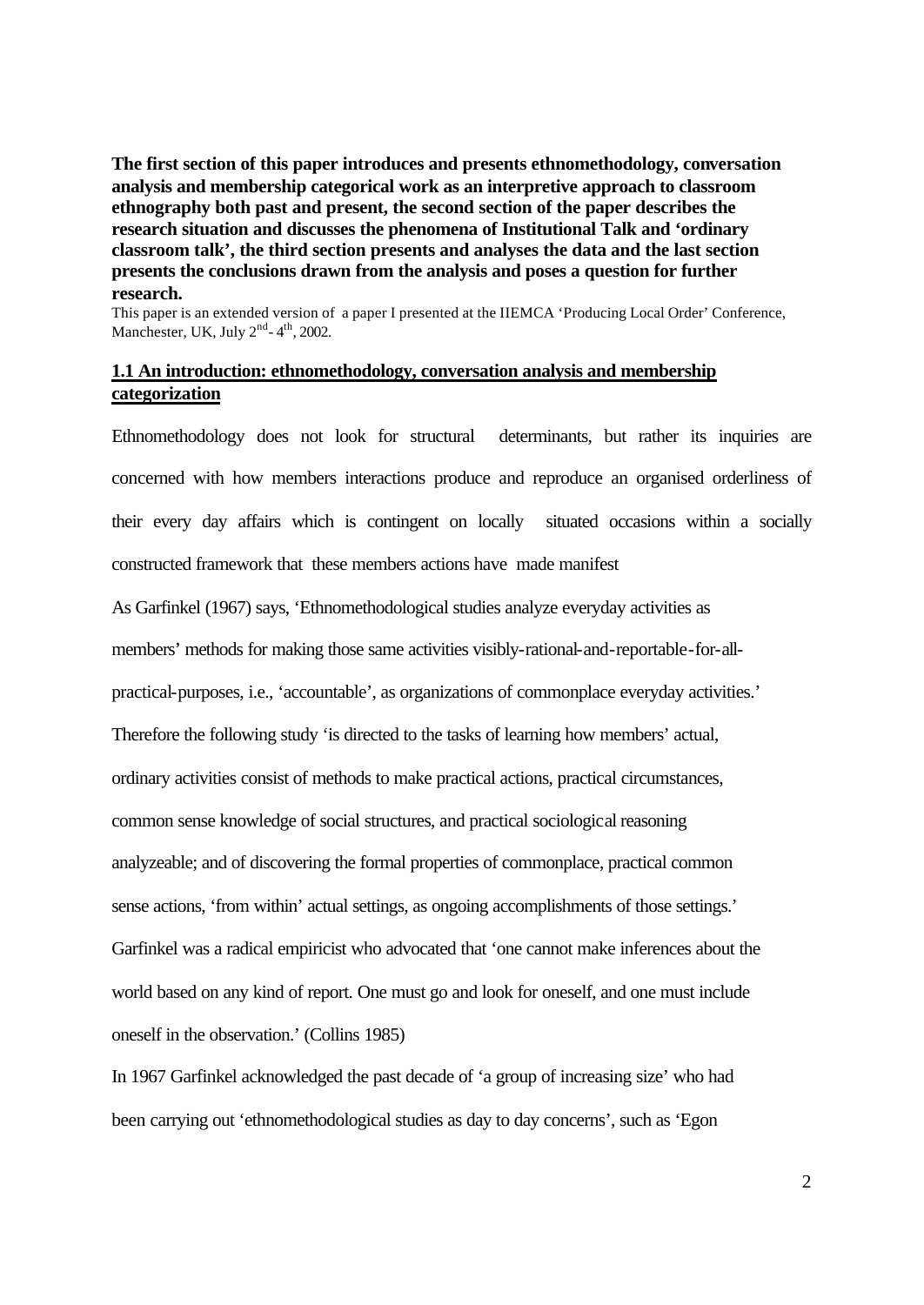**The first section of this paper introduces and presents ethnomethodology, conversation analysis and membership categorical work as an interpretive approach to classroom ethnography both past and present, the second section of the paper describes the research situation and discusses the phenomena of Institutional Talk and 'ordinary classroom talk', the third section presents and analyses the data and the last section presents the conclusions drawn from the analysis and poses a question for further research.**

This paper is an extended version of a paper I presented at the IIEMCA 'Producing Local Order' Conference, Manchester, UK, July  $2^{nd}$ -4<sup>th</sup>, 2002.

### **1.1 An introduction: ethnomethodology, conversation analysis and membership categorization**

Ethnomethodology does not look for structural determinants, but rather its inquiries are concerned with how members interactions produce and reproduce an organised orderliness of their every day affairs which is contingent on locally situated occasions within a socially constructed framework that these members actions have made manifest

As Garfinkel (1967) says, 'Ethnomethodological studies analyze everyday activities as

members' methods for making those same activities visibly-rational-and-reportable-for-all-

practical-purposes, i.e., 'accountable', as organizations of commonplace everyday activities.'

Therefore the following study 'is directed to the tasks of learning how members' actual,

ordinary activities consist of methods to make practical actions, practical circumstances,

common sense knowledge of social structures, and practical sociological reasoning

analyzeable; and of discovering the formal properties of commonplace, practical common

sense actions, 'from within' actual settings, as ongoing accomplishments of those settings.'

Garfinkel was a radical empiricist who advocated that 'one cannot make inferences about the

world based on any kind of report. One must go and look for oneself, and one must include

oneself in the observation.' (Collins 1985)

In 1967 Garfinkel acknowledged the past decade of 'a group of increasing size' who had been carrying out 'ethnomethodological studies as day to day concerns', such as 'Egon

 $\overline{2}$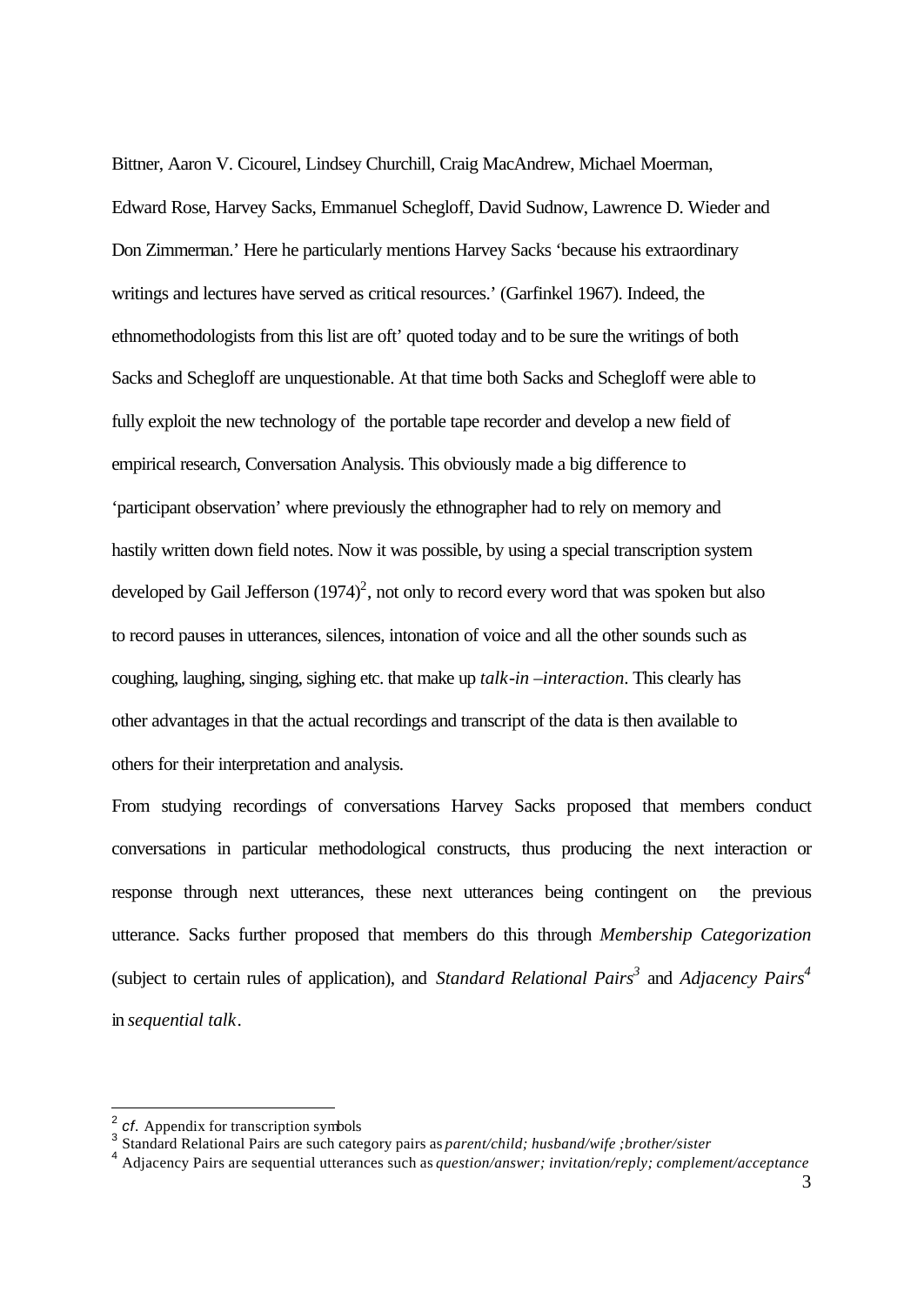Bittner, Aaron V. Cicourel, Lindsey Churchill, Craig MacAndrew, Michael Moerman, Edward Rose, Harvey Sacks, Emmanuel Schegloff, David Sudnow, Lawrence D. Wieder and Don Zimmerman.' Here he particularly mentions Harvey Sacks 'because his extraordinary writings and lectures have served as critical resources.' (Garfinkel 1967). Indeed, the ethnomethodologists from this list are oft' quoted today and to be sure the writings of both Sacks and Schegloff are unquestionable. At that time both Sacks and Schegloff were able to fully exploit the new technology of the portable tape recorder and develop a new field of empirical research, Conversation Analysis. This obviously made a big difference to 'participant observation' where previously the ethnographer had to rely on memory and hastily written down field notes. Now it was possible, by using a special transcription system developed by Gail Jefferson  $(1974)^2$ , not only to record every word that was spoken but also to record pauses in utterances, silences, intonation of voice and all the other sounds such as coughing, laughing, singing, sighing etc. that make up *talk-in –interaction*. This clearly has other advantages in that the actual recordings and transcript of the data is then available to others for their interpretation and analysis.

From studying recordings of conversations Harvey Sacks proposed that members conduct conversations in particular methodological constructs, thus producing the next interaction or response through next utterances, these next utterances being contingent on the previous utterance. Sacks further proposed that members do this through *Membership Categorization* (subject to certain rules of application), and *Standard Relational Pairs<sup>3</sup>* and *Adjacency Pairs<sup>4</sup>* in *sequential talk*.

l

<sup>&</sup>lt;sup>2</sup> *cf*. Appendix for transcription symbols

<sup>3</sup> Standard Relational Pairs are such category pairs as *parent/child; husband/wife ;brother/sister*

<sup>4</sup> Adjacency Pairs are sequential utterances such as *question/answer; invitation/reply; complement/acceptance*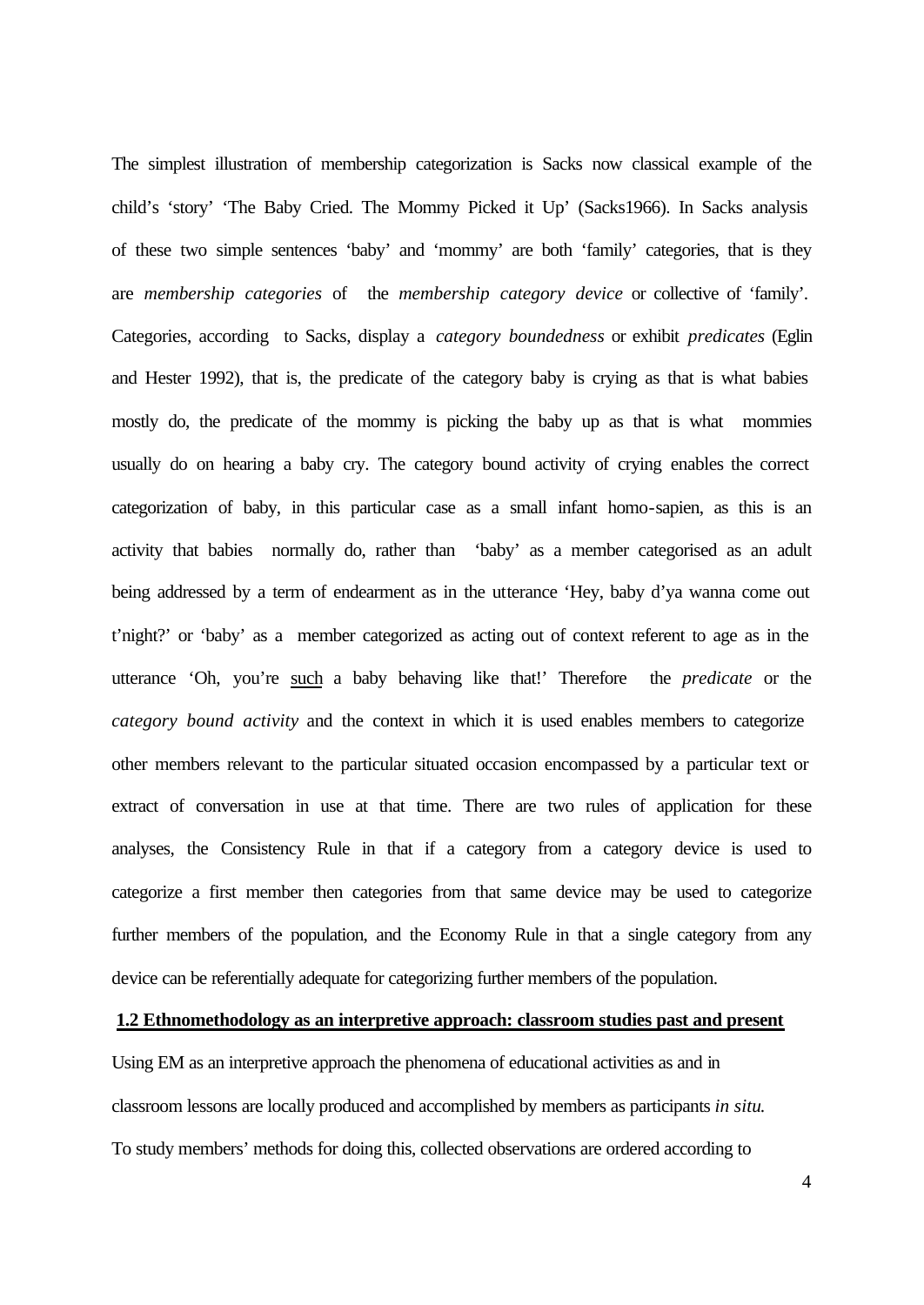The simplest illustration of membership categorization is Sacks now classical example of the child's 'story' 'The Baby Cried. The Mommy Picked it Up' (Sacks1966). In Sacks analysis of these two simple sentences 'baby' and 'mommy' are both 'family' categories, that is they are *membership categories* of the *membership category device* or collective of 'family'. Categories, according to Sacks, display a *category boundedness* or exhibit *predicates* (Eglin and Hester 1992), that is, the predicate of the category baby is crying as that is what babies mostly do, the predicate of the mommy is picking the baby up as that is what mommies usually do on hearing a baby cry. The category bound activity of crying enables the correct categorization of baby, in this particular case as a small infant homo-sapien, as this is an activity that babies normally do, rather than 'baby' as a member categorised as an adult being addressed by a term of endearment as in the utterance 'Hey, baby d'ya wanna come out t'night?' or 'baby' as a member categorized as acting out of context referent to age as in the utterance 'Oh, you're such a baby behaving like that!' Therefore the *predicate* or the *category bound activity* and the context in which it is used enables members to categorize other members relevant to the particular situated occasion encompassed by a particular text or extract of conversation in use at that time. There are two rules of application for these analyses, the Consistency Rule in that if a category from a category device is used to categorize a first member then categories from that same device may be used to categorize further members of the population, and the Economy Rule in that a single category from any device can be referentially adequate for categorizing further members of the population.

### **1.2 Ethnomethodology as an interpretive approach: classroom studies past and present**

Using EM as an interpretive approach the phenomena of educational activities as and in classroom lessons are locally produced and accomplished by members as participants *in situ*. To study members' methods for doing this, collected observations are ordered according to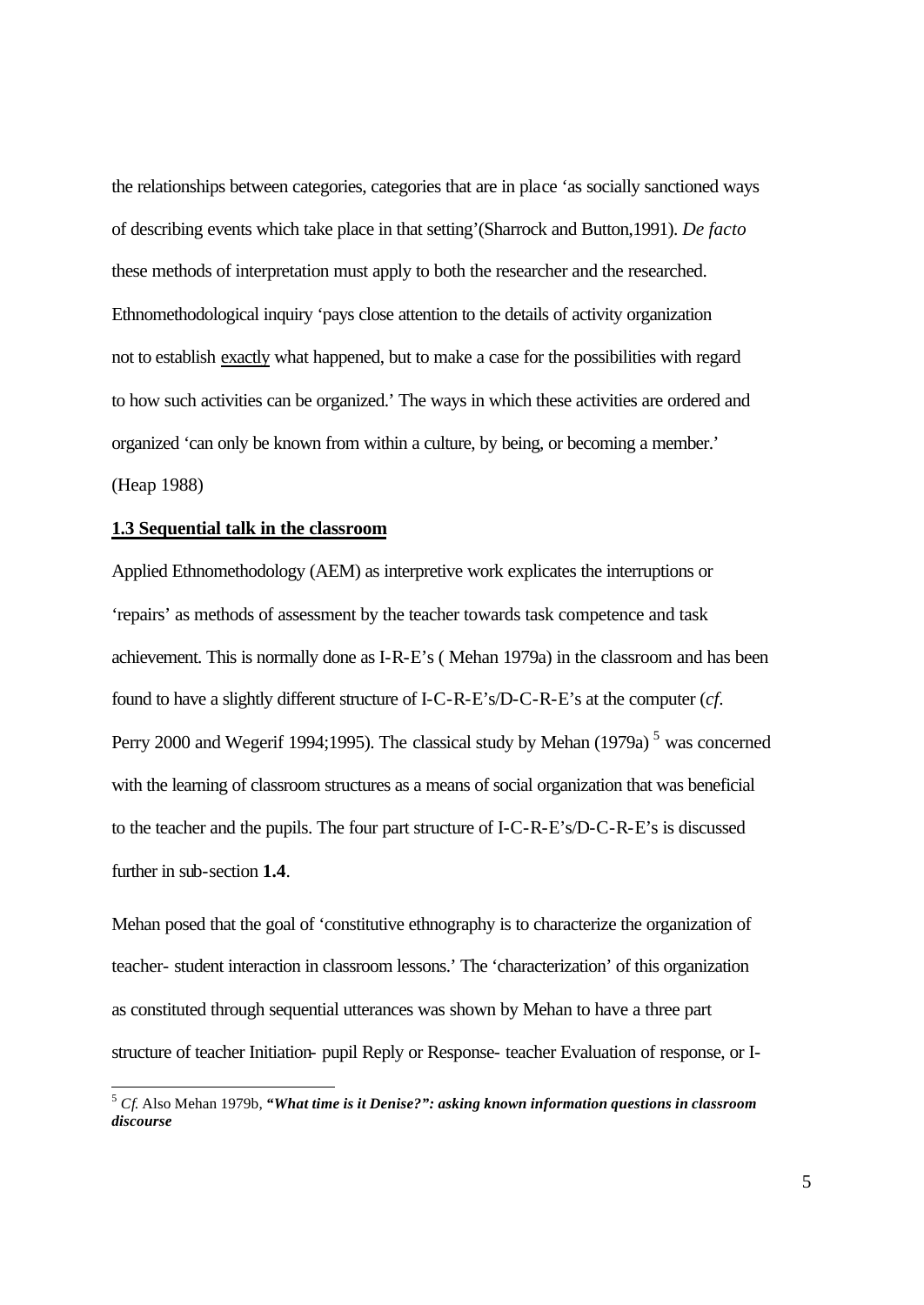the relationships between categories, categories that are in place 'as socially sanctioned ways of describing events which take place in that setting'(Sharrock and Button,1991). *De facto*  these methods of interpretation must apply to both the researcher and the researched. Ethnomethodological inquiry 'pays close attention to the details of activity organization not to establish exactly what happened, but to make a case for the possibilities with regard to how such activities can be organized.' The ways in which these activities are ordered and organized 'can only be known from within a culture, by being, or becoming a member.' (Heap 1988)

#### **1.3 Sequential talk in the classroom**

 $\overline{\phantom{a}}$ 

Applied Ethnomethodology (AEM) as interpretive work explicates the interruptions or 'repairs' as methods of assessment by the teacher towards task competence and task achievement. This is normally done as I-R-E's ( Mehan 1979a) in the classroom and has been found to have a slightly different structure of I-C-R-E's/D-C-R-E's at the computer (*cf.*  Perry 2000 and Wegerif 1994;1995). The classical study by Mehan  $(1979a)$ <sup>5</sup> was concerned with the learning of classroom structures as a means of social organization that was beneficial to the teacher and the pupils. The four part structure of I-C-R-E's/D-C-R-E's is discussed further in sub-section **1.4**.

Mehan posed that the goal of 'constitutive ethnography is to characterize the organization of teacher- student interaction in classroom lessons.' The 'characterization' of this organization as constituted through sequential utterances was shown by Mehan to have a three part structure of teacher Initiation- pupil Reply or Response- teacher Evaluation of response, or I-

<sup>5</sup> *Cf*. Also Mehan 1979b, *"What time is it Denise?": asking known information questions in classroom discourse*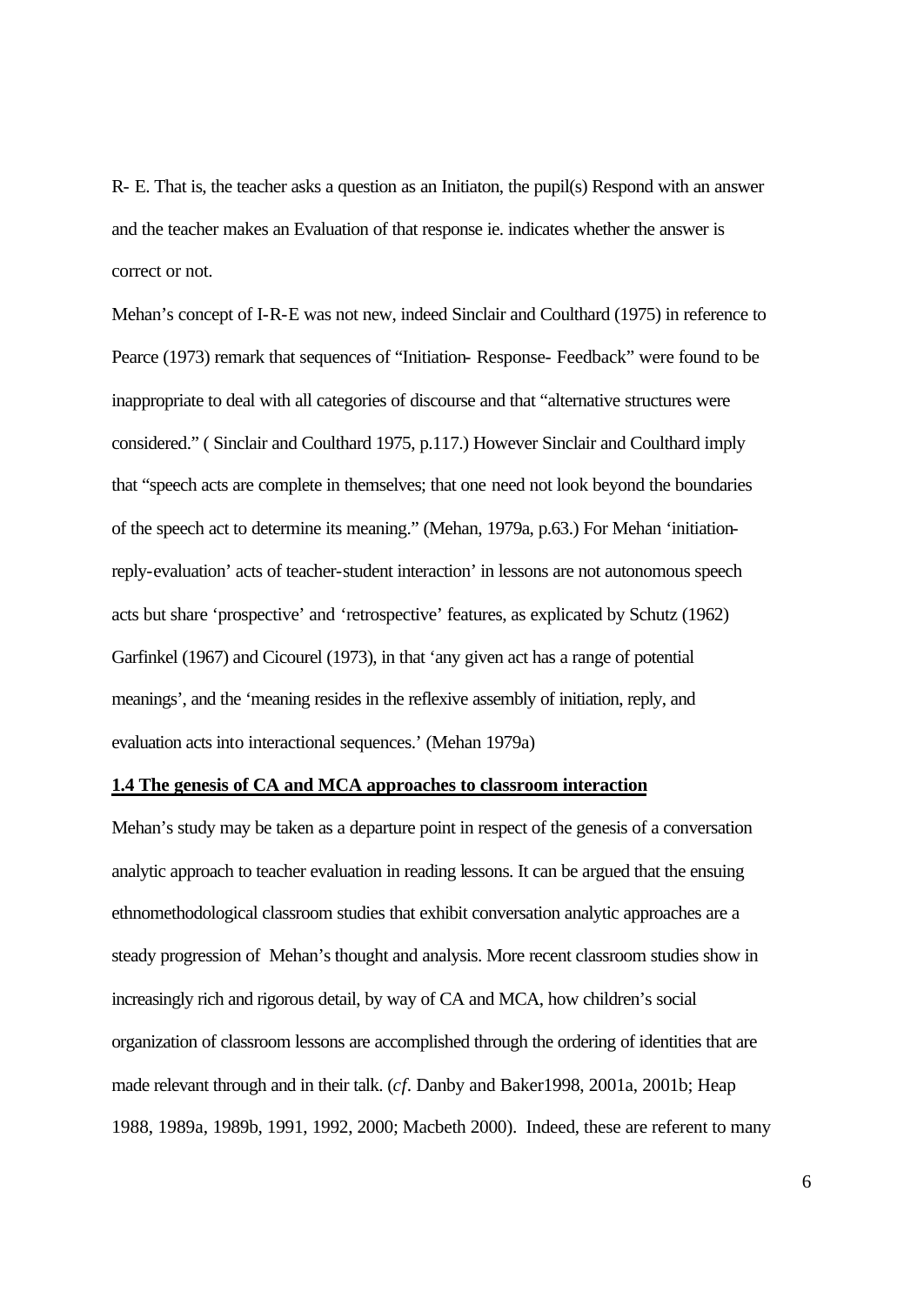R- E. That is, the teacher asks a question as an Initiaton, the pupil(s) Respond with an answer and the teacher makes an Evaluation of that response ie. indicates whether the answer is correct or not.

Mehan's concept of I-R-E was not new, indeed Sinclair and Coulthard (1975) in reference to Pearce (1973) remark that sequences of "Initiation- Response- Feedback" were found to be inappropriate to deal with all categories of discourse and that "alternative structures were considered." ( Sinclair and Coulthard 1975, p.117.) However Sinclair and Coulthard imply that "speech acts are complete in themselves; that one need not look beyond the boundaries of the speech act to determine its meaning." (Mehan, 1979a, p.63.) For Mehan 'initiationreply-evaluation' acts of teacher-student interaction' in lessons are not autonomous speech acts but share 'prospective' and 'retrospective' features, as explicated by Schutz (1962) Garfinkel (1967) and Cicourel (1973), in that 'any given act has a range of potential meanings', and the 'meaning resides in the reflexive assembly of initiation, reply, and evaluation acts into interactional sequences.' (Mehan 1979a)

#### **1.4 The genesis of CA and MCA approaches to classroom interaction**

Mehan's study may be taken as a departure point in respect of the genesis of a conversation analytic approach to teacher evaluation in reading lessons. It can be argued that the ensuing ethnomethodological classroom studies that exhibit conversation analytic approaches are a steady progression of Mehan's thought and analysis. More recent classroom studies show in increasingly rich and rigorous detail, by way of CA and MCA, how children's social organization of classroom lessons are accomplished through the ordering of identities that are made relevant through and in their talk. (*cf.* Danby and Baker1998, 2001a, 2001b; Heap 1988, 1989a, 1989b, 1991, 1992, 2000; Macbeth 2000). Indeed, these are referent to many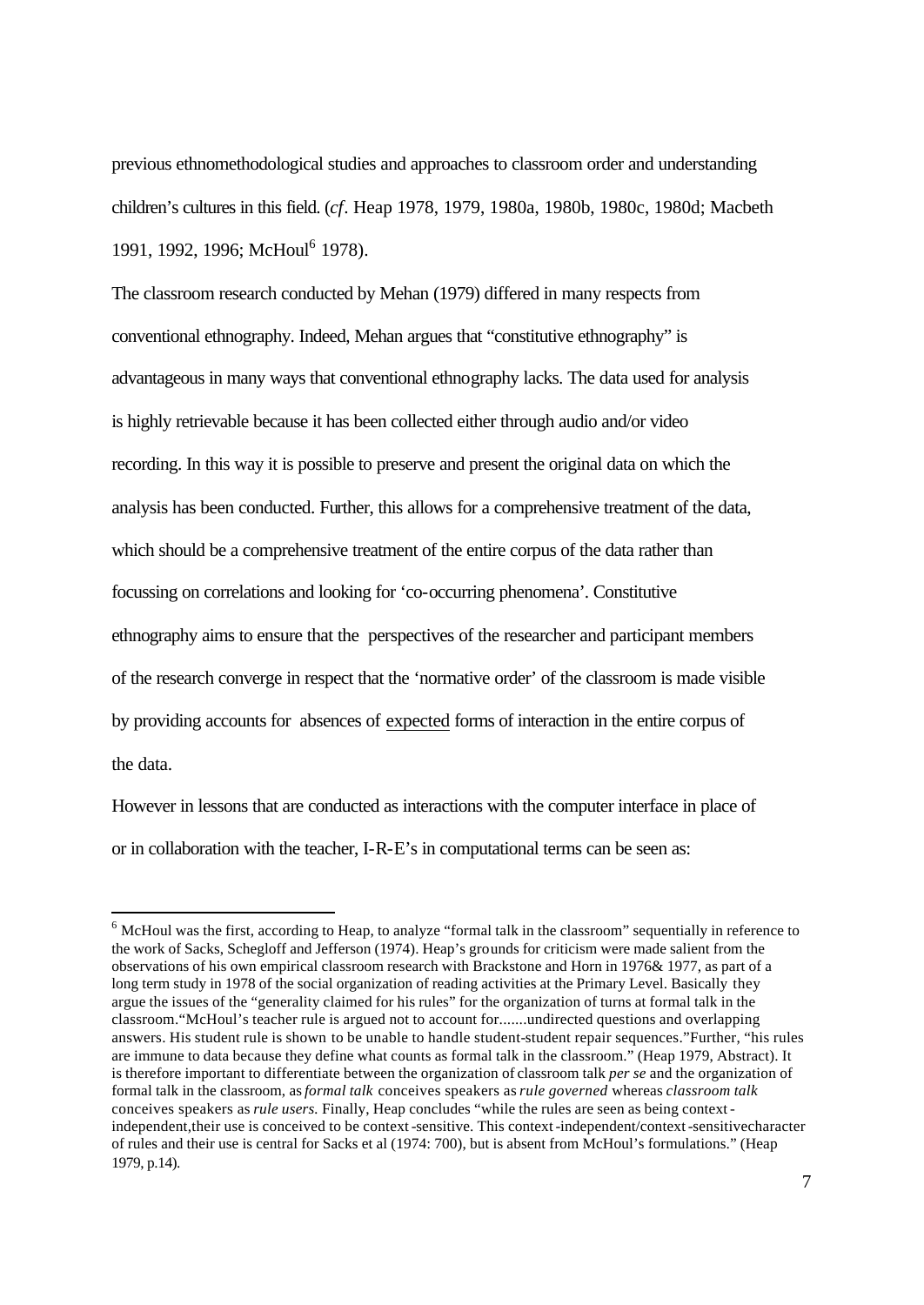previous ethnomethodological studies and approaches to classroom order and understanding children's cultures in this field. (*cf*. Heap 1978, 1979, 1980a, 1980b, 1980c, 1980d; Macbeth 1991, 1992, 1996; McHoul<sup>6</sup> 1978).

The classroom research conducted by Mehan (1979) differed in many respects from conventional ethnography. Indeed, Mehan argues that "constitutive ethnography" is advantageous in many ways that conventional ethnography lacks. The data used for analysis is highly retrievable because it has been collected either through audio and/or video recording. In this way it is possible to preserve and present the original data on which the analysis has been conducted. Further, this allows for a comprehensive treatment of the data, which should be a comprehensive treatment of the entire corpus of the data rather than focussing on correlations and looking for 'co-occurring phenomena'. Constitutive ethnography aims to ensure that the perspectives of the researcher and participant members of the research converge in respect that the 'normative order' of the classroom is made visible by providing accounts for absences of expected forms of interaction in the entire corpus of the data.

However in lessons that are conducted as interactions with the computer interface in place of or in collaboration with the teacher, I-R-E's in computational terms can be seen as:

l

 $6$  McHoul was the first, according to Heap, to analyze "formal talk in the classroom" sequentially in reference to the work of Sacks, Schegloff and Jefferson (1974). Heap's grounds for criticism were made salient from the observations of his own empirical classroom research with Brackstone and Horn in 1976& 1977, as part of a long term study in 1978 of the social organization of reading activities at the Primary Level. Basically they argue the issues of the "generality claimed for his rules" for the organization of turns at formal talk in the classroom."McHoul's teacher rule is argued not to account for.......undirected questions and overlapping answers. His student rule is shown to be unable to handle student-student repair sequences."Further, "his rules are immune to data because they define what counts as formal talk in the classroom." (Heap 1979, Abstract). It is therefore important to differentiate between the organization of classroom talk *per se* and the organization of formal talk in the classroom, as *formal talk* conceives speakers as *rule governed* whereas *classroom talk* conceives speakers as *rule users.* Finally, Heap concludes "while the rules are seen as being contextindependent,their use is conceived to be context -sensitive. This context-independent/context-sensitivecharacter of rules and their use is central for Sacks et al (1974: 700), but is absent from McHoul's formulations." (Heap 1979, p.14).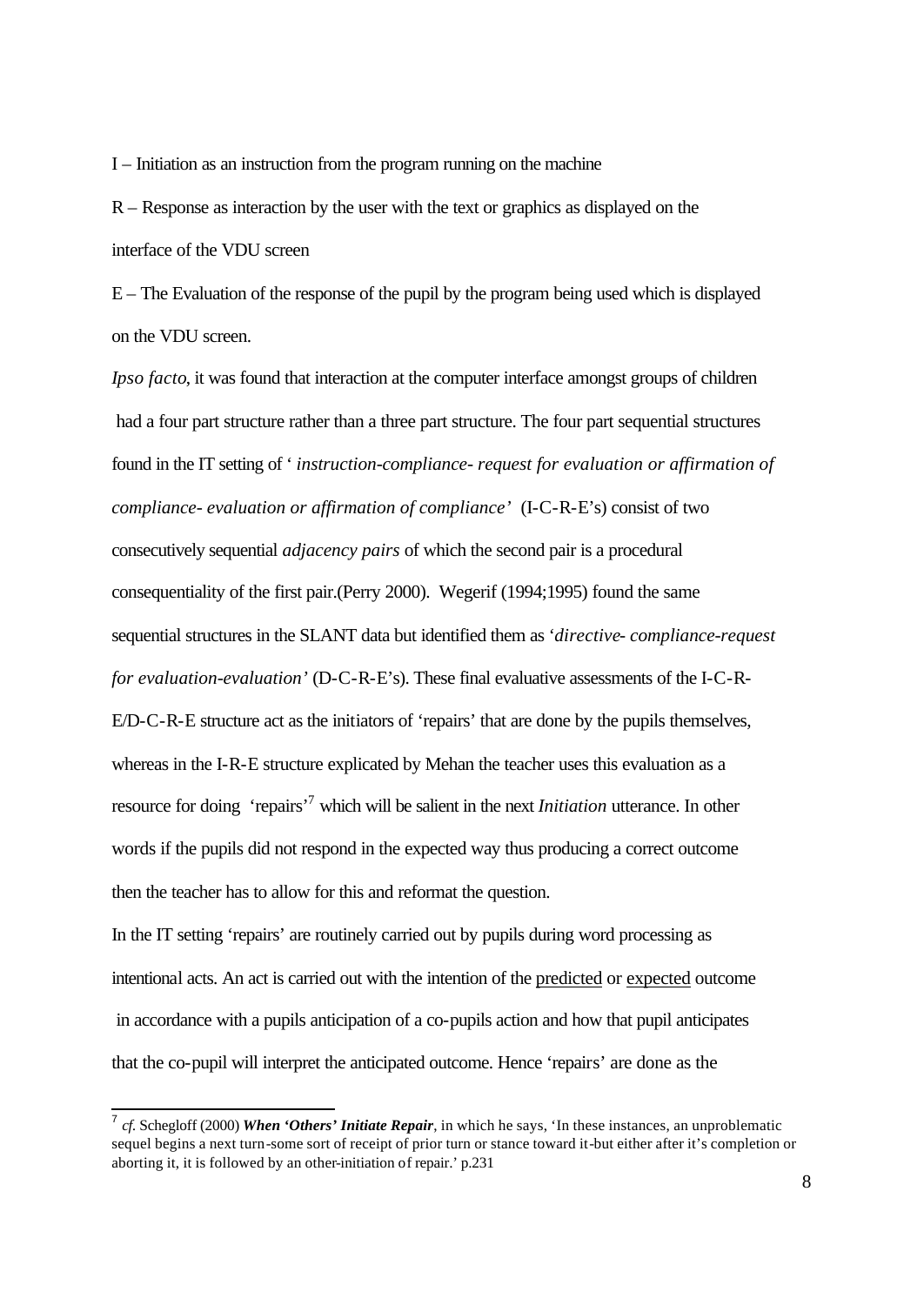I – Initiation as an instruction from the program running on the machine

R – Response as interaction by the user with the text or graphics as displayed on the interface of the VDU screen

E – The Evaluation of the response of the pupil by the program being used which is displayed on the VDU screen.

*Ipso facto*, it was found that interaction at the computer interface amongst groups of children had a four part structure rather than a three part structure. The four part sequential structures found in the IT setting of ' *instruction-compliance- request for evaluation or affirmation of compliance- evaluation or affirmation of compliance'* (I-C-R-E's) consist of two consecutively sequential *adjacency pairs* of which the second pair is a procedural consequentiality of the first pair.(Perry 2000). Wegerif (1994;1995) found the same sequential structures in the SLANT data but identified them as '*directive- compliance-request for evaluation-evaluation'* (D-C-R-E's). These final evaluative assessments of the I-C-R-E/D-C-R-E structure act as the initiators of 'repairs' that are done by the pupils themselves, whereas in the I-R-E structure explicated by Mehan the teacher uses this evaluation as a resource for doing 'repairs<sup>'7</sup> which will be salient in the next *Initiation* utterance. In other words if the pupils did not respond in the expected way thus producing a correct outcome then the teacher has to allow for this and reformat the question.

In the IT setting 'repairs' are routinely carried out by pupils during word processing as intentional acts. An act is carried out with the intention of the predicted or expected outcome in accordance with a pupils anticipation of a co-pupils action and how that pupil anticipates that the co-pupil will interpret the anticipated outcome. Hence 'repairs' are done as the

 7 *cf.* Schegloff (2000) *When 'Others' Initiate Repair*, in which he says, 'In these instances, an unproblematic sequel begins a next turn-some sort of receipt of prior turn or stance toward it-but either after it's completion or aborting it, it is followed by an other-initiation of repair.' p.231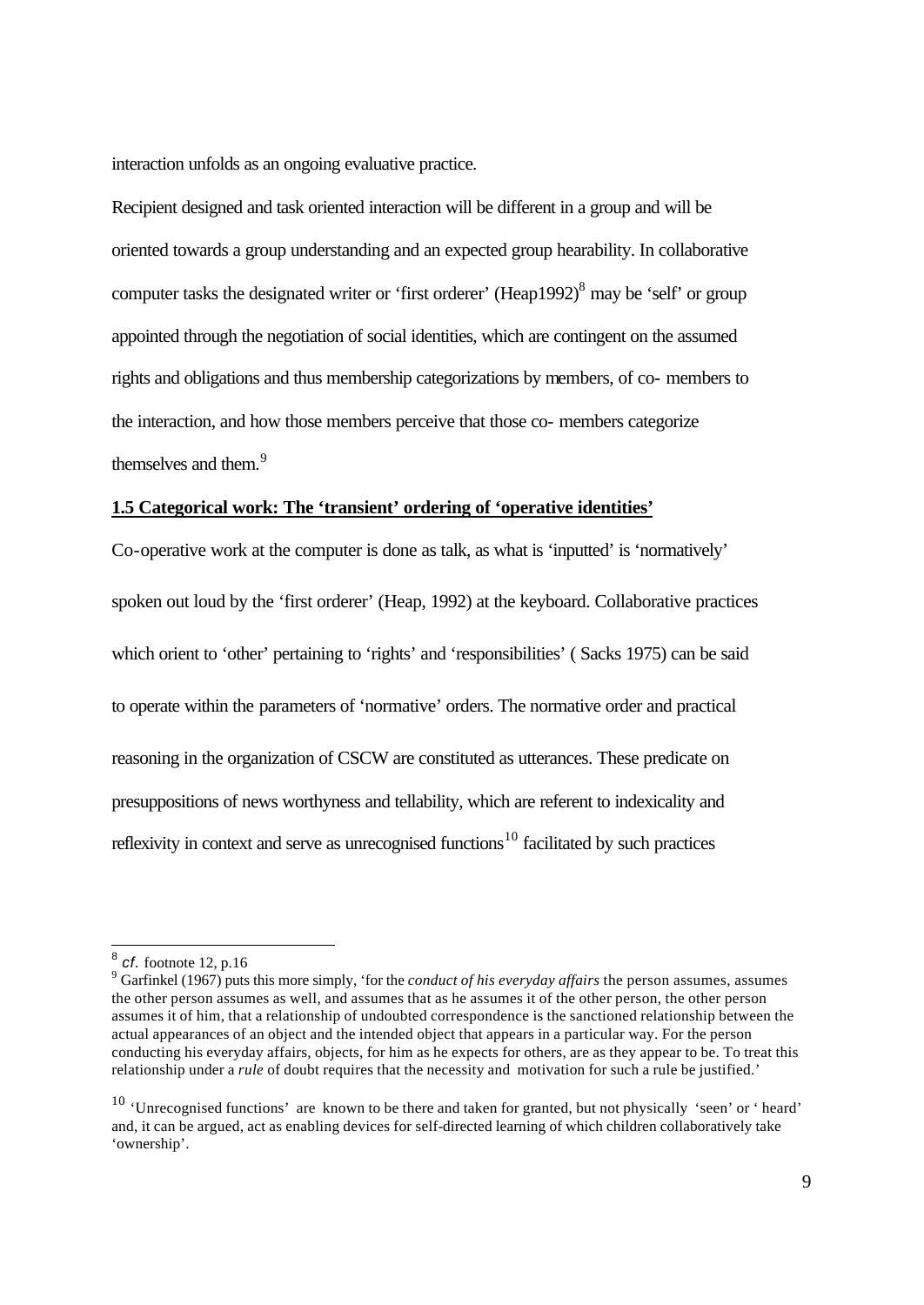interaction unfolds as an ongoing evaluative practice.

Recipient designed and task oriented interaction will be different in a group and will be oriented towards a group understanding and an expected group hearability. In collaborative computer tasks the designated writer or 'first orderer' (Heap1992) $\delta$  may be 'self' or group appointed through the negotiation of social identities, which are contingent on the assumed rights and obligations and thus membership categorizations by members, of co- members to the interaction, and how those members perceive that those co- members categorize themselves and them.<sup>9</sup>

### **1.5 Categorical work: The 'transient' ordering of 'operative identities'**

Co-operative work at the computer is done as talk, as what is 'inputted' is 'normatively' spoken out loud by the 'first orderer' (Heap, 1992) at the keyboard. Collaborative practices which orient to 'other' pertaining to 'rights' and 'responsibilities' (Sacks 1975) can be said to operate within the parameters of 'normative' orders. The normative order and practical reasoning in the organization of CSCW are constituted as utterances. These predicate on presuppositions of news worthyness and tellability, which are referent to indexicality and reflexivity in context and serve as unrecognised functions<sup>10</sup> facilitated by such practices

 8 *cf*. footnote 12, p.16

<sup>9</sup> Garfinkel (1967) puts this more simply, 'for the *conduct of his everyday affairs* the person assumes, assumes the other person assumes as well, and assumes that as he assumes it of the other person, the other person assumes it of him, that a relationship of undoubted correspondence is the sanctioned relationship between the actual appearances of an object and the intended object that appears in a particular way. For the person conducting his everyday affairs, objects, for him as he expects for others, are as they appear to be. To treat this relationship under a *rule* of doubt requires that the necessity and motivation for such a rule be justified.'

<sup>&</sup>lt;sup>10</sup> 'Unrecognised functions' are known to be there and taken for granted, but not physically 'seen' or ' heard' and, it can be argued, act as enabling devices for self-directed learning of which children collaboratively take 'ownership'.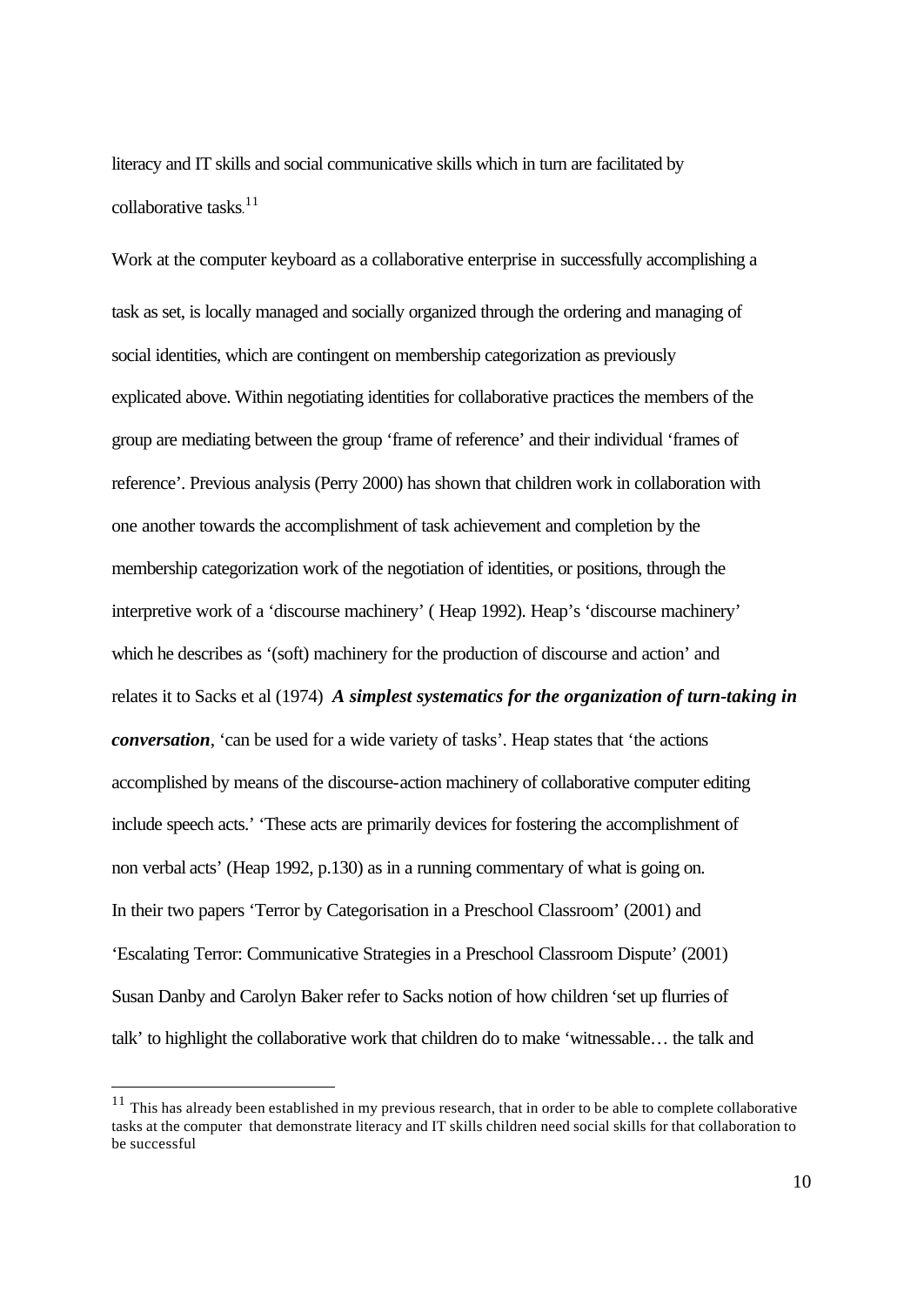literacy and IT skills and social communicative skills which in turn are facilitated by collaborative tasks.<sup>11</sup>

Work at the computer keyboard as a collaborative enterprise in successfully accomplishing a task as set, is locally managed and socially organized through the ordering and managing of social identities, which are contingent on membership categorization as previously explicated above. Within negotiating identities for collaborative practices the members of the group are mediating between the group 'frame of reference' and their individual 'frames of reference'. Previous analysis (Perry 2000) has shown that children work in collaboration with one another towards the accomplishment of task achievement and completion by the membership categorization work of the negotiation of identities, or positions, through the interpretive work of a 'discourse machinery' ( Heap 1992). Heap's 'discourse machinery' which he describes as '(soft) machinery for the production of discourse and action' and relates it to Sacks et al (1974) *A simplest systematics for the organization of turn-taking in conversation*, 'can be used for a wide variety of tasks'. Heap states that 'the actions accomplished by means of the discourse-action machinery of collaborative computer editing include speech acts.' 'These acts are primarily devices for fostering the accomplishment of non verbal acts' (Heap 1992, p.130) as in a running commentary of what is going on. In their two papers 'Terror by Categorisation in a Preschool Classroom' (2001) and 'Escalating Terror: Communicative Strategies in a Preschool Classroom Dispute' (2001) Susan Danby and Carolyn Baker refer to Sacks notion of how children 'set up flurries of talk' to highlight the collaborative work that children do to make 'witnessable… the talk and

l

 $11$  This has already been established in my previous research, that in order to be able to complete collaborative tasks at the computer that demonstrate literacy and IT skills children need social skills for that collaboration to be successful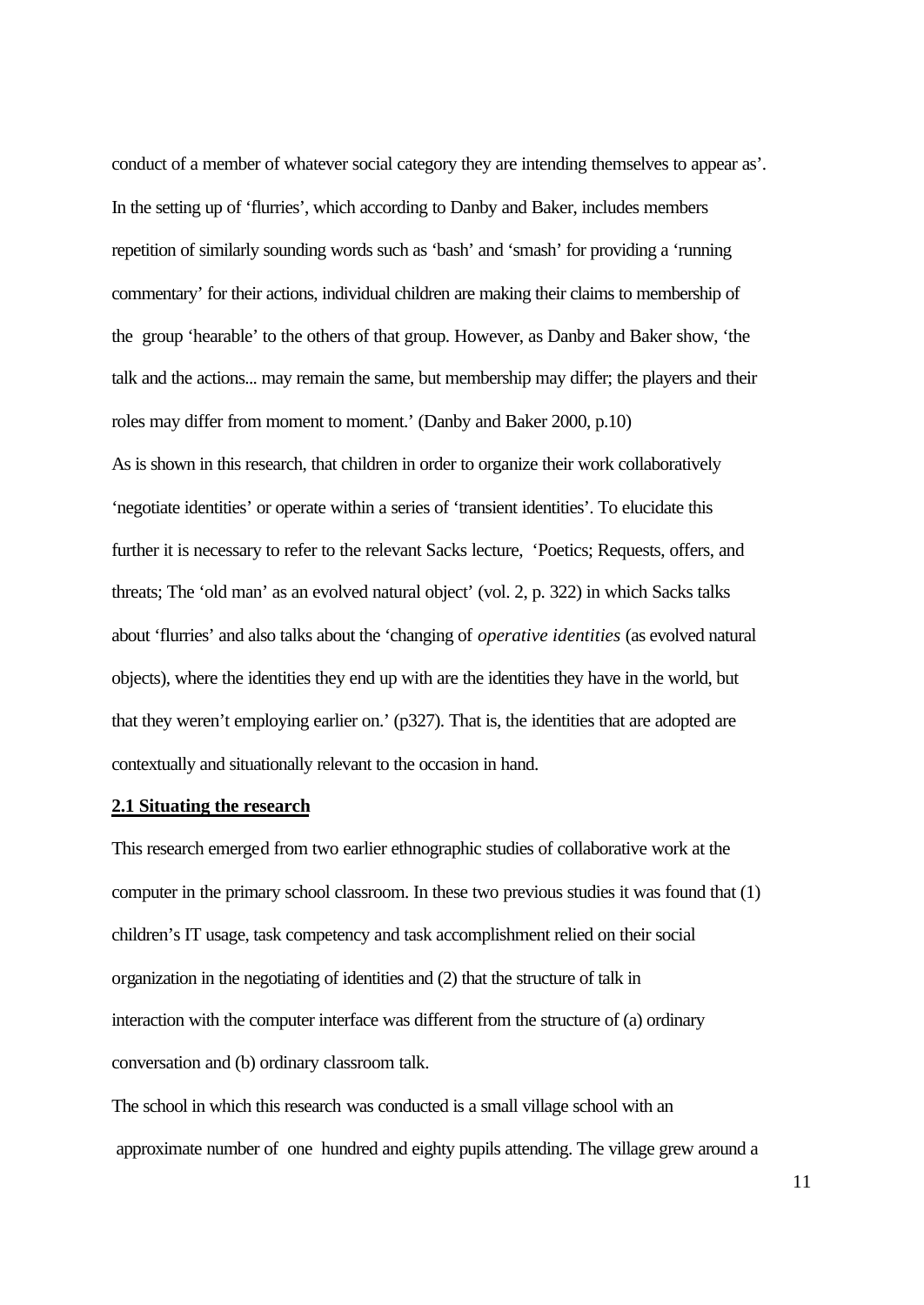conduct of a member of whatever social category they are intending themselves to appear as'. In the setting up of 'flurries', which according to Danby and Baker, includes members repetition of similarly sounding words such as 'bash' and 'smash' for providing a 'running commentary' for their actions, individual children are making their claims to membership of the group 'hearable' to the others of that group. However, as Danby and Baker show, 'the talk and the actions... may remain the same, but membership may differ; the players and their roles may differ from moment to moment.' (Danby and Baker 2000, p.10) As is shown in this research, that children in order to organize their work collaboratively 'negotiate identities' or operate within a series of 'transient identities'. To elucidate this further it is necessary to refer to the relevant Sacks lecture, 'Poetics; Requests, offers, and threats; The 'old man' as an evolved natural object' (vol. 2, p. 322) in which Sacks talks about 'flurries' and also talks about the 'changing of *operative identities* (as evolved natural objects), where the identities they end up with are the identities they have in the world, but that they weren't employing earlier on.' (p327). That is, the identities that are adopted are contextually and situationally relevant to the occasion in hand.

#### **2.1 Situating the research**

This research emerged from two earlier ethnographic studies of collaborative work at the computer in the primary school classroom. In these two previous studies it was found that (1) children's IT usage, task competency and task accomplishment relied on their social organization in the negotiating of identities and (2) that the structure of talk in interaction with the computer interface was different from the structure of (a) ordinary conversation and (b) ordinary classroom talk.

The school in which this research was conducted is a small village school with an approximate number of one hundred and eighty pupils attending. The village grew around a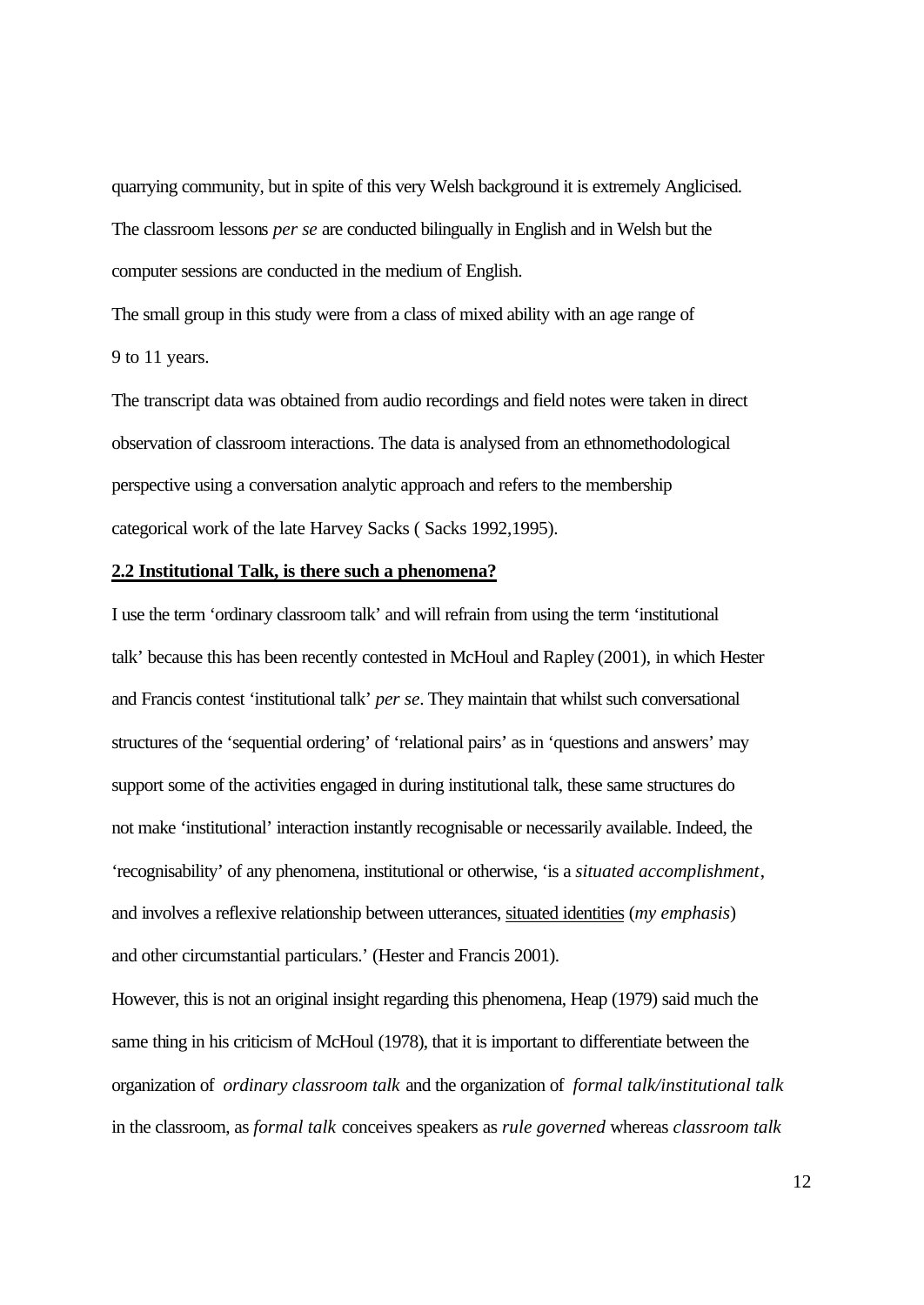quarrying community, but in spite of this very Welsh background it is extremely Anglicised. The classroom lessons *per se* are conducted bilingually in English and in Welsh but the computer sessions are conducted in the medium of English.

The small group in this study were from a class of mixed ability with an age range of 9 to 11 years.

The transcript data was obtained from audio recordings and field notes were taken in direct observation of classroom interactions. The data is analysed from an ethnomethodological perspective using a conversation analytic approach and refers to the membership categorical work of the late Harvey Sacks ( Sacks 1992,1995).

### **2.2 Institutional Talk, is there such a phenomena?**

I use the term 'ordinary classroom talk' and will refrain from using the term 'institutional talk' because this has been recently contested in McHoul and Rapley (2001), in which Hester and Francis contest 'institutional talk' *per se*. They maintain that whilst such conversational structures of the 'sequential ordering' of 'relational pairs' as in 'questions and answers' may support some of the activities engaged in during institutional talk, these same structures do not make 'institutional' interaction instantly recognisable or necessarily available. Indeed, the 'recognisability' of any phenomena, institutional or otherwise, 'is a *situated accomplishment*, and involves a reflexive relationship between utterances, situated identities (*my emphasis*) and other circumstantial particulars.' (Hester and Francis 2001).

However, this is not an original insight regarding this phenomena, Heap (1979) said much the same thing in his criticism of McHoul (1978), that it is important to differentiate between the organization of *ordinary classroom talk* and the organization of *formal talk/institutional talk* in the classroom, as *formal talk* conceives speakers as *rule governed* whereas *classroom talk*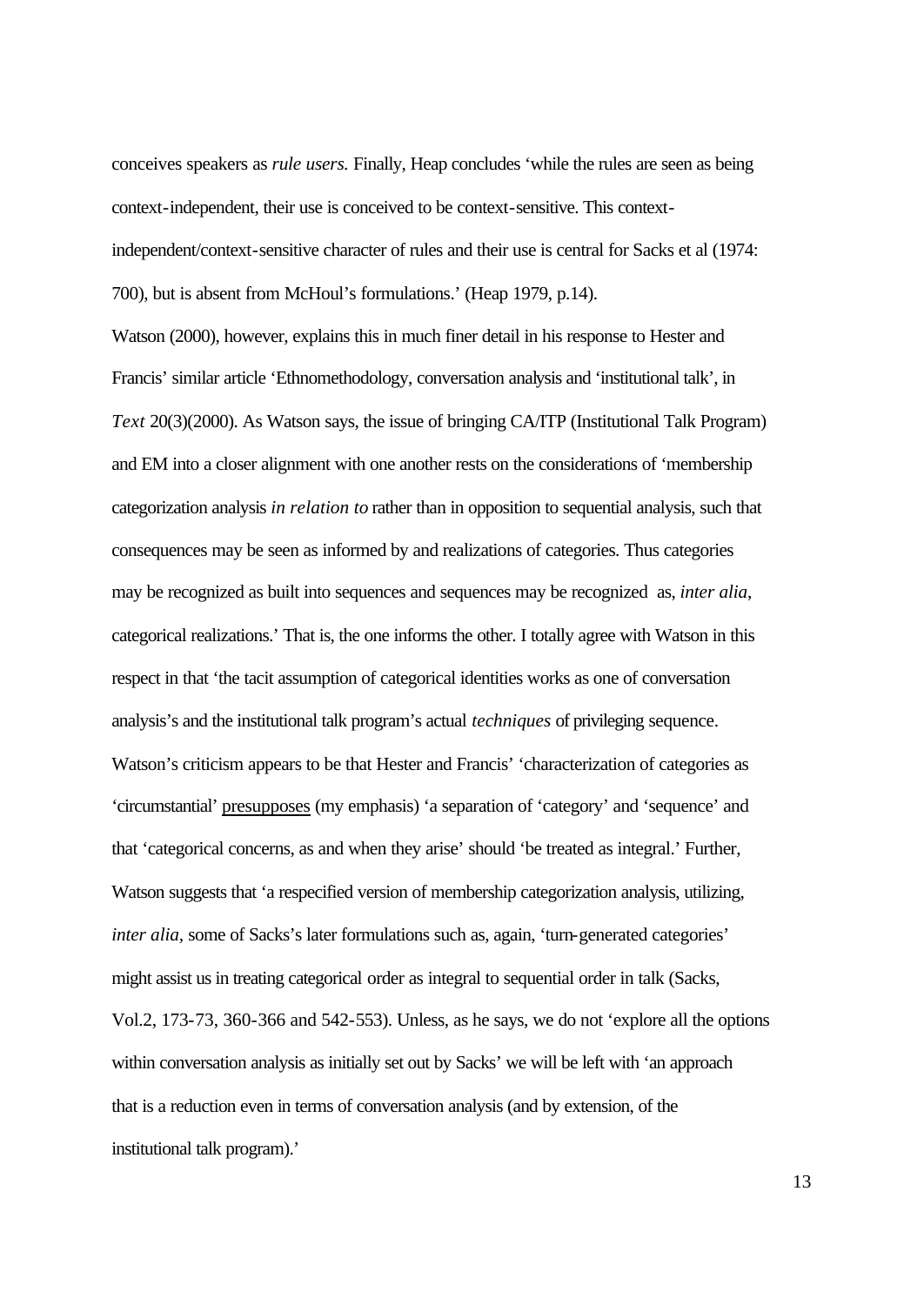conceives speakers as *rule users.* Finally, Heap concludes 'while the rules are seen as being context-independent, their use is conceived to be context-sensitive. This contextindependent/context-sensitive character of rules and their use is central for Sacks et al (1974: 700), but is absent from McHoul's formulations.' (Heap 1979, p.14).

Watson (2000), however, explains this in much finer detail in his response to Hester and Francis' similar article 'Ethnomethodology, conversation analysis and 'institutional talk', in *Text* 20(3)(2000). As Watson says, the issue of bringing CA/ITP (Institutional Talk Program) and EM into a closer alignment with one another rests on the considerations of 'membership categorization analysis *in relation to* rather than in opposition to sequential analysis, such that consequences may be seen as informed by and realizations of categories. Thus categories may be recognized as built into sequences and sequences may be recognized as, *inter alia*, categorical realizations.' That is, the one informs the other. I totally agree with Watson in this respect in that 'the tacit assumption of categorical identities works as one of conversation analysis's and the institutional talk program's actual *techniques* of privileging sequence. Watson's criticism appears to be that Hester and Francis' 'characterization of categories as 'circumstantial' presupposes (my emphasis) 'a separation of 'category' and 'sequence' and that 'categorical concerns, as and when they arise' should 'be treated as integral.' Further, Watson suggests that 'a respecified version of membership categorization analysis, utilizing, *inter alia,* some of Sacks's later formulations such as, again, 'turn-generated categories' might assist us in treating categorical order as integral to sequential order in talk (Sacks, Vol.2, 173-73, 360-366 and 542-553). Unless, as he says, we do not 'explore all the options within conversation analysis as initially set out by Sacks' we will be left with 'an approach that is a reduction even in terms of conversation analysis (and by extension, of the institutional talk program).'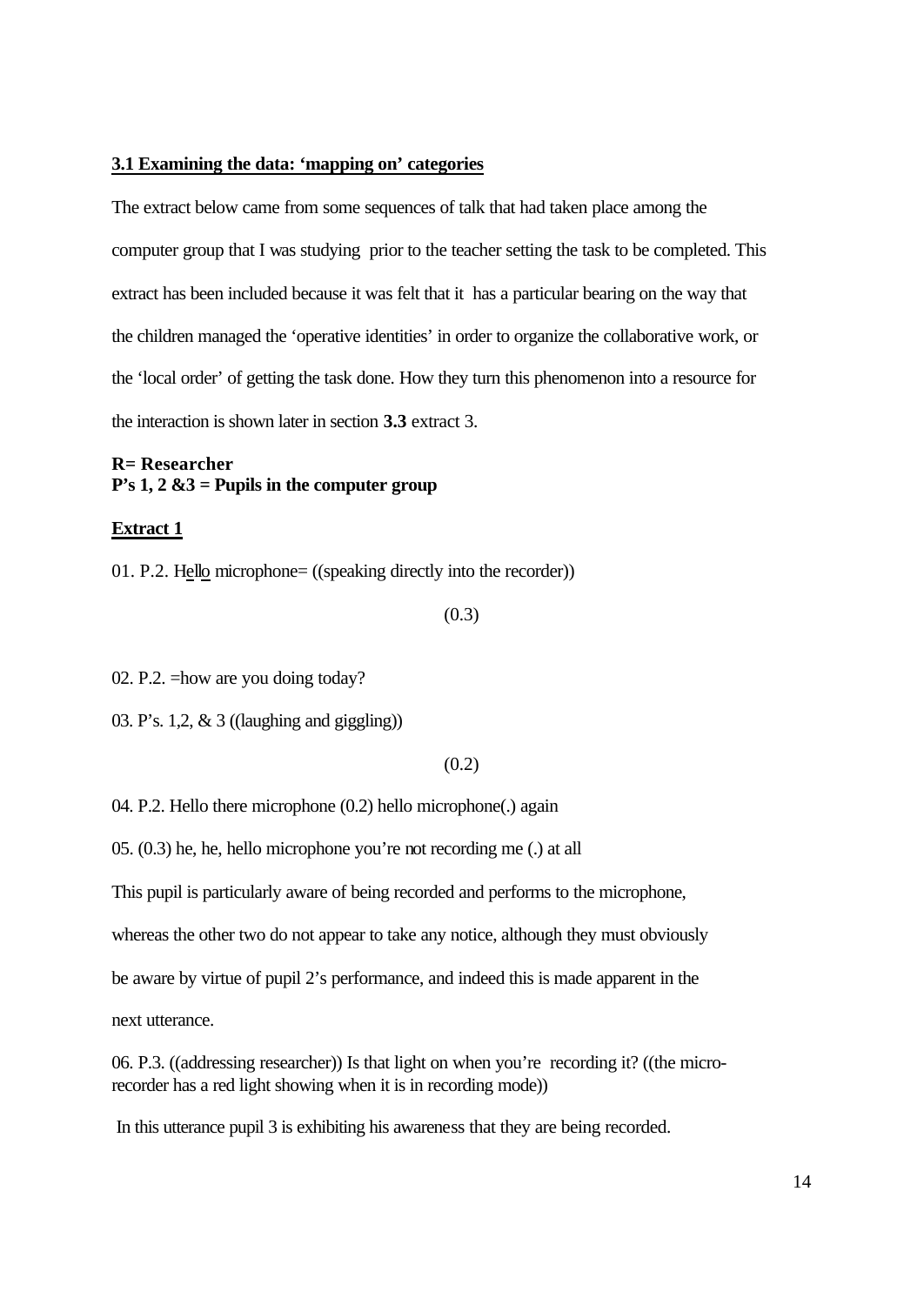#### **3.1 Examining the data: 'mapping on' categories**

The extract below came from some sequences of talk that had taken place among the computer group that I was studying prior to the teacher setting the task to be completed. This extract has been included because it was felt that it has a particular bearing on the way that the children managed the 'operative identities' in order to organize the collaborative work, or the 'local order' of getting the task done. How they turn this phenomenon into a resource for the interaction is shown later in section **3.3** extract 3.

### **R= Researcher P's 1, 2 &3 = Pupils in the computer group**

#### **Extract 1**

01. P.2. Hello microphone= ((speaking directly into the recorder))

(0.3)

02. P.2. =how are you doing today?

03. P's. 1,2, & 3 ((laughing and giggling))

### $(0.2)$

04. P.2. Hello there microphone (0.2) hello microphone(.) again

05. (0.3) he, he, hello microphone you're not recording me (.) at all

This pupil is particularly aware of being recorded and performs to the microphone,

whereas the other two do not appear to take any notice, although they must obviously

be aware by virtue of pupil 2's performance, and indeed this is made apparent in the

next utterance.

06. P.3. ((addressing researcher)) Is that light on when you're recording it? ((the microrecorder has a red light showing when it is in recording mode))

In this utterance pupil 3 is exhibiting his awareness that they are being recorded.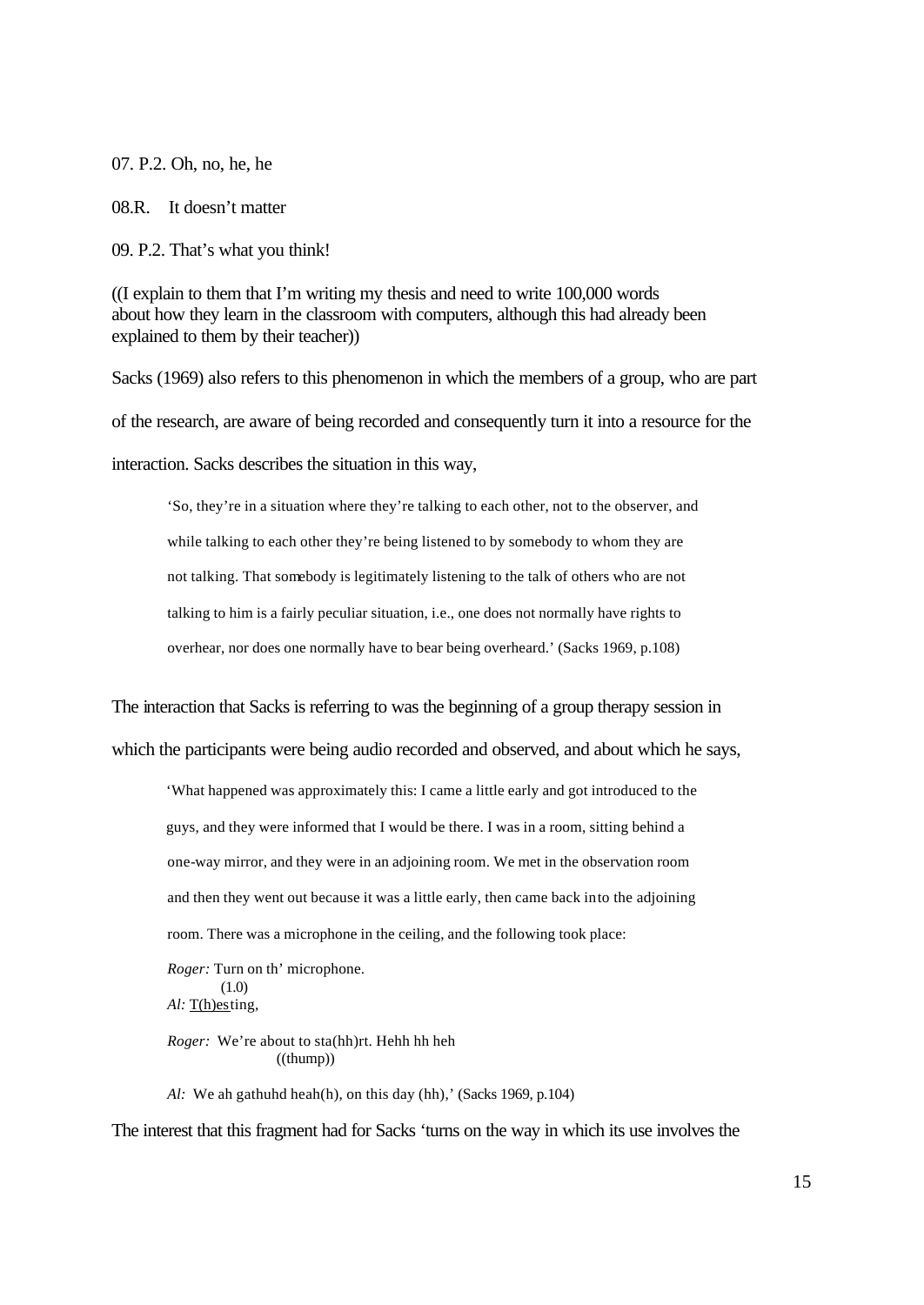07. P.2. Oh, no, he, he

08.R. It doesn't matter

09. P.2. That's what you think!

((I explain to them that I'm writing my thesis and need to write 100,000 words about how they learn in the classroom with computers, although this had already been explained to them by their teacher))

Sacks (1969) also refers to this phenomenon in which the members of a group, who are part of the research, are aware of being recorded and consequently turn it into a resource for the interaction. Sacks describes the situation in this way,

'So, they're in a situation where they're talking to each other, not to the observer, and while talking to each other they're being listened to by somebody to whom they are not talking. That somebody is legitimately listening to the talk of others who are not talking to him is a fairly peculiar situation, i.e., one does not normally have rights to overhear, nor does one normally have to bear being overheard.' (Sacks 1969, p.108)

The interaction that Sacks is referring to was the beginning of a group therapy session in

which the participants were being audio recorded and observed, and about which he says,

'What happened was approximately this: I came a little early and got introduced to the guys, and they were informed that I would be there. I was in a room, sitting behind a one-way mirror, and they were in an adjoining room. We met in the observation room and then they went out because it was a little early, then came back into the adjoining room. There was a microphone in the ceiling, and the following took place:

*Roger:* Turn on th' microphone. (1.0)

Al: T(h)esting,

*Roger:* We're about to sta(hh)rt. Hehh hh heh ((thump))

*Al:* We ah gathuhd heah(h), on this day (hh),' (Sacks 1969, p.104)

The interest that this fragment had for Sacks 'turns on the way in which its use involves the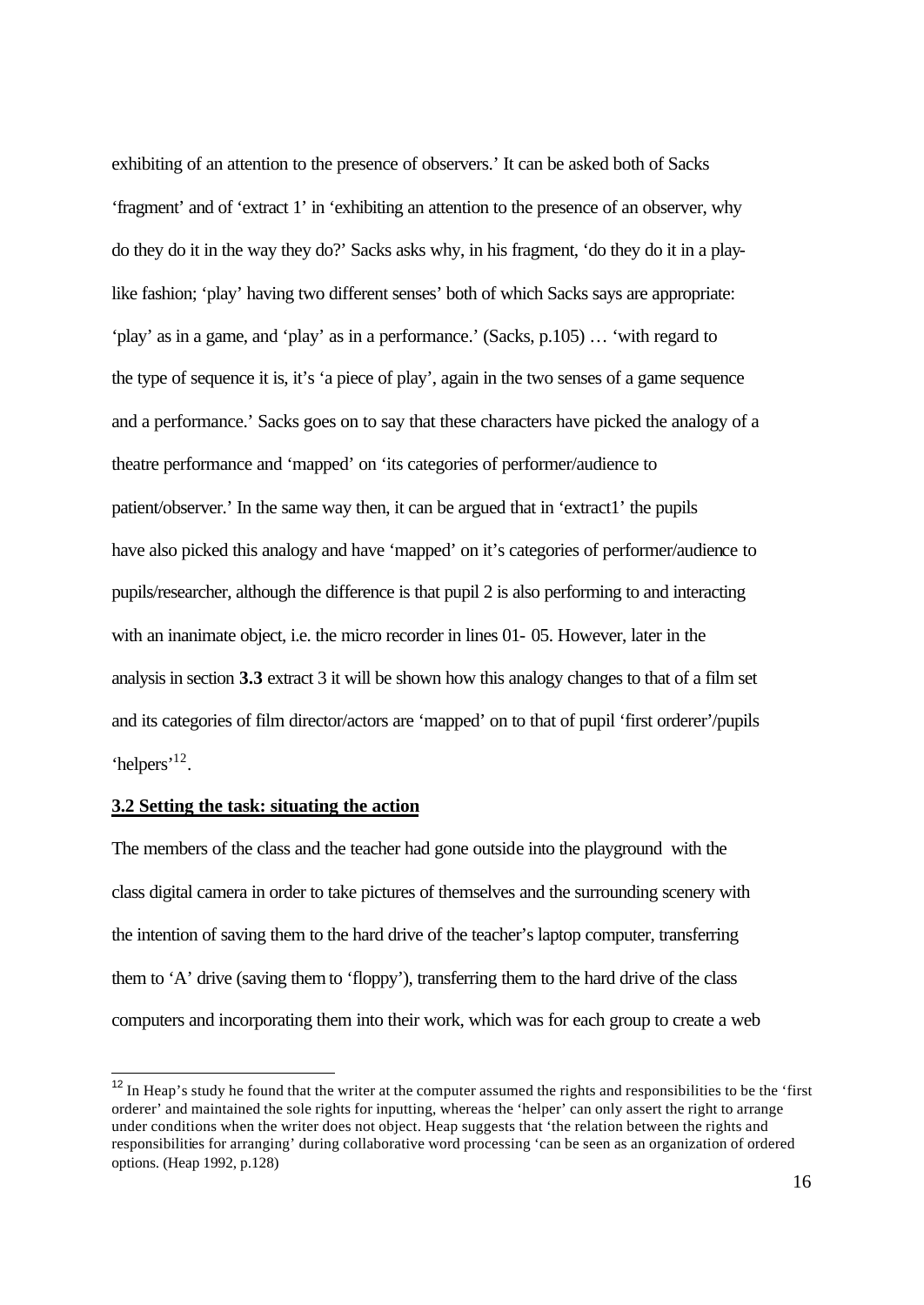exhibiting of an attention to the presence of observers.' It can be asked both of Sacks 'fragment' and of 'extract 1' in 'exhibiting an attention to the presence of an observer, why do they do it in the way they do?' Sacks asks why, in his fragment, 'do they do it in a playlike fashion; 'play' having two different senses' both of which Sacks says are appropriate: 'play' as in a game, and 'play' as in a performance.' (Sacks, p.105) … 'with regard to the type of sequence it is, it's 'a piece of play', again in the two senses of a game sequence and a performance.' Sacks goes on to say that these characters have picked the analogy of a theatre performance and 'mapped' on 'its categories of performer/audience to patient/observer.' In the same way then, it can be argued that in 'extract1' the pupils have also picked this analogy and have 'mapped' on it's categories of performer/audience to pupils/researcher, although the difference is that pupil 2 is also performing to and interacting with an inanimate object, i.e. the micro recorder in lines 01- 05. However, later in the analysis in section **3.3** extract 3 it will be shown how this analogy changes to that of a film set and its categories of film director/actors are 'mapped' on to that of pupil 'first orderer'/pupils 'helpers'<sup>12</sup>.

### **3.2 Setting the task: situating the action**

 $\overline{a}$ 

The members of the class and the teacher had gone outside into the playground with the class digital camera in order to take pictures of themselves and the surrounding scenery with the intention of saving them to the hard drive of the teacher's laptop computer, transferring them to 'A' drive (saving them to 'floppy'), transferring them to the hard drive of the class computers and incorporating them into their work, which was for each group to create a web

 $12$  In Heap's study he found that the writer at the computer assumed the rights and responsibilities to be the 'first orderer' and maintained the sole rights for inputting, whereas the 'helper' can only assert the right to arrange under conditions when the writer does not object. Heap suggests that 'the relation between the rights and responsibilities for arranging' during collaborative word processing 'can be seen as an organization of ordered options. (Heap 1992, p.128)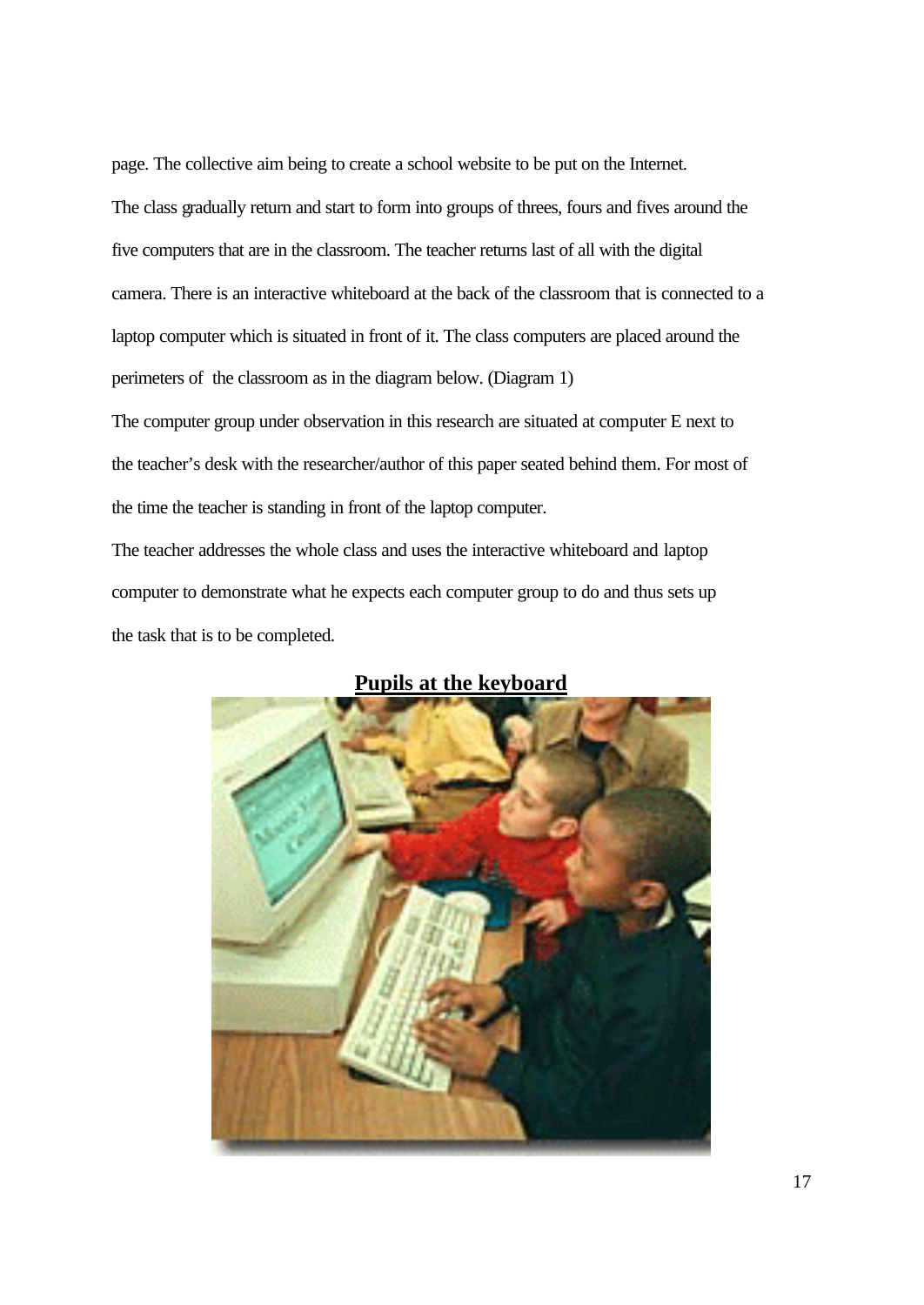page. The collective aim being to create a school website to be put on the Internet. The class gradually return and start to form into groups of threes, fours and fives around the five computers that are in the classroom. The teacher returns last of all with the digital camera. There is an interactive whiteboard at the back of the classroom that is connected to a laptop computer which is situated in front of it. The class computers are placed around the perimeters of the classroom as in the diagram below. (Diagram 1)

The computer group under observation in this research are situated at computer E next to the teacher's desk with the researcher/author of this paper seated behind them. For most of the time the teacher is standing in front of the laptop computer.

The teacher addresses the whole class and uses the interactive whiteboard and laptop computer to demonstrate what he expects each computer group to do and thus sets up the task that is to be completed.



### **Pupils at the keyboard**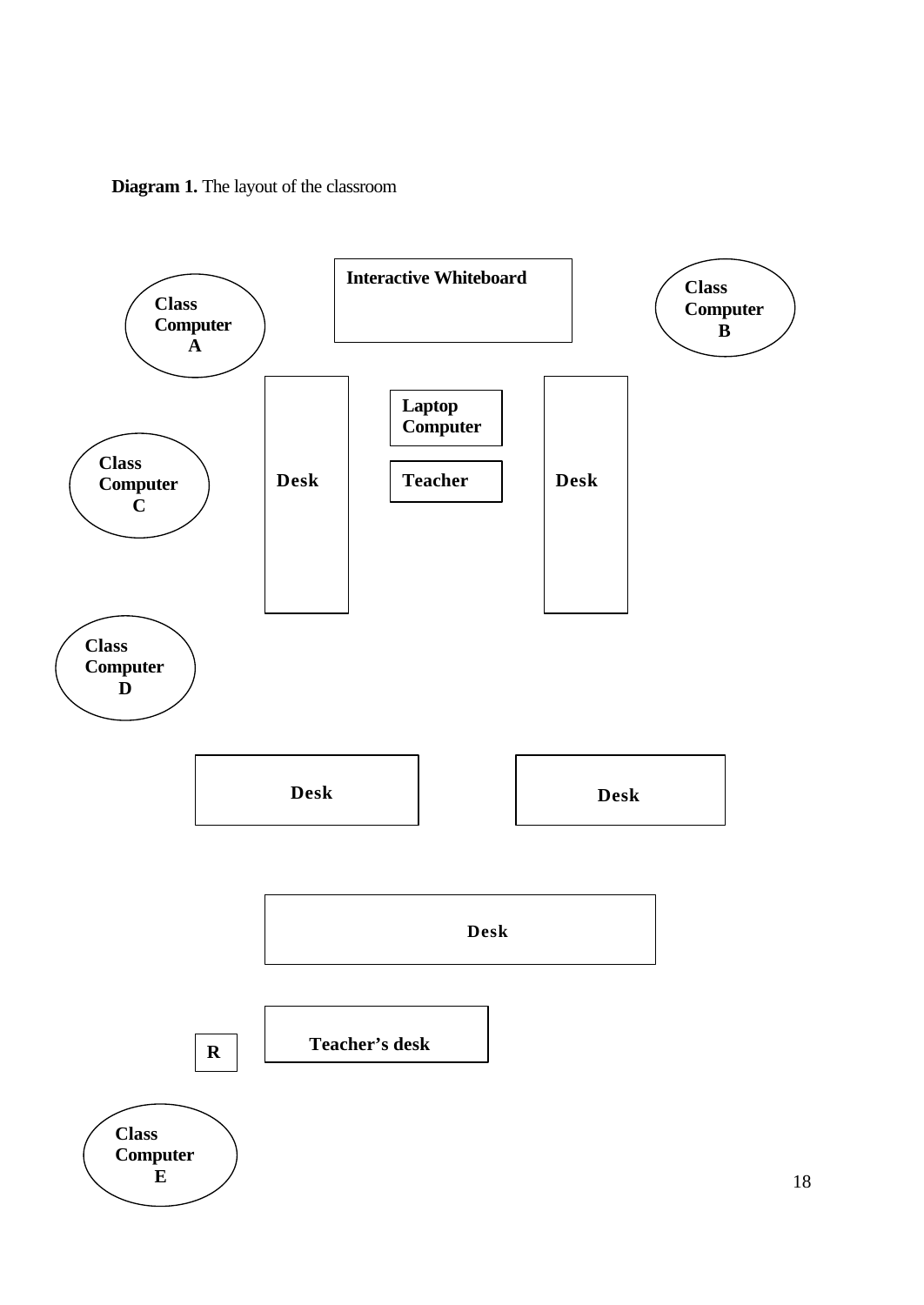**Diagram 1.** The layout of the classroom

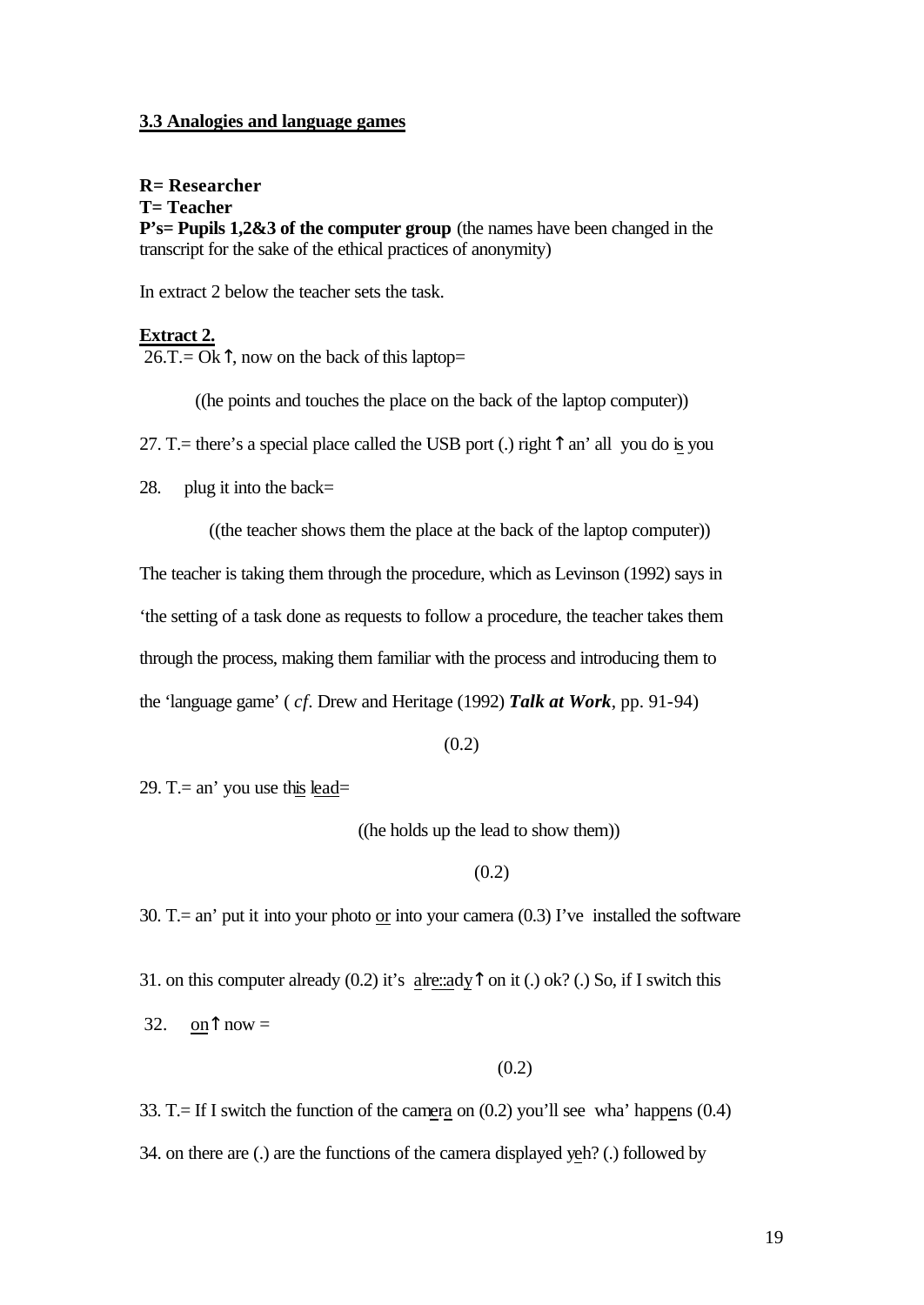#### **3.3 Analogies and language games**

### **R= Researcher**

**T= Teacher**

**P's= Pupils 1,2&3 of the computer group** (the names have been changed in the transcript for the sake of the ethical practices of anonymity)

In extract 2 below the teacher sets the task.

### **Extract 2.**

 $26. T = Ok \hat{\mathcal{T}}$ , now on the back of this laptop=

((he points and touches the place on the back of the laptop computer))

27. T.= there's a special place called the USB port (.) right  $\hat{\uparrow}$  an' all you do is you

28. plug it into the back=

((the teacher shows them the place at the back of the laptop computer))

The teacher is taking them through the procedure, which as Levinson (1992) says in 'the setting of a task done as requests to follow a procedure, the teacher takes them through the process, making them familiar with the process and introducing them to the 'language game' ( *cf.* Drew and Heritage (1992) *Talk at Work*, pp. 91-94)

 $(0.2)$ 

29. T $=$  an' you use this lead=

((he holds up the lead to show them))

(0.2)

30. T.= an' put it into your photo or into your camera  $(0.3)$  I've installed the software

31. on this computer already (0.2) it's  $\frac{a}{\text{lim} \cdot a}$  on it (.) ok? (.) So, if I switch this

32. on  $\uparrow$  now =

 $(0.2)$ 

33. T.= If I switch the function of the camera on  $(0.2)$  you'll see wha' happens  $(0.4)$ 34. on there are (.) are the functions of the camera displayed yeh? (.) followed by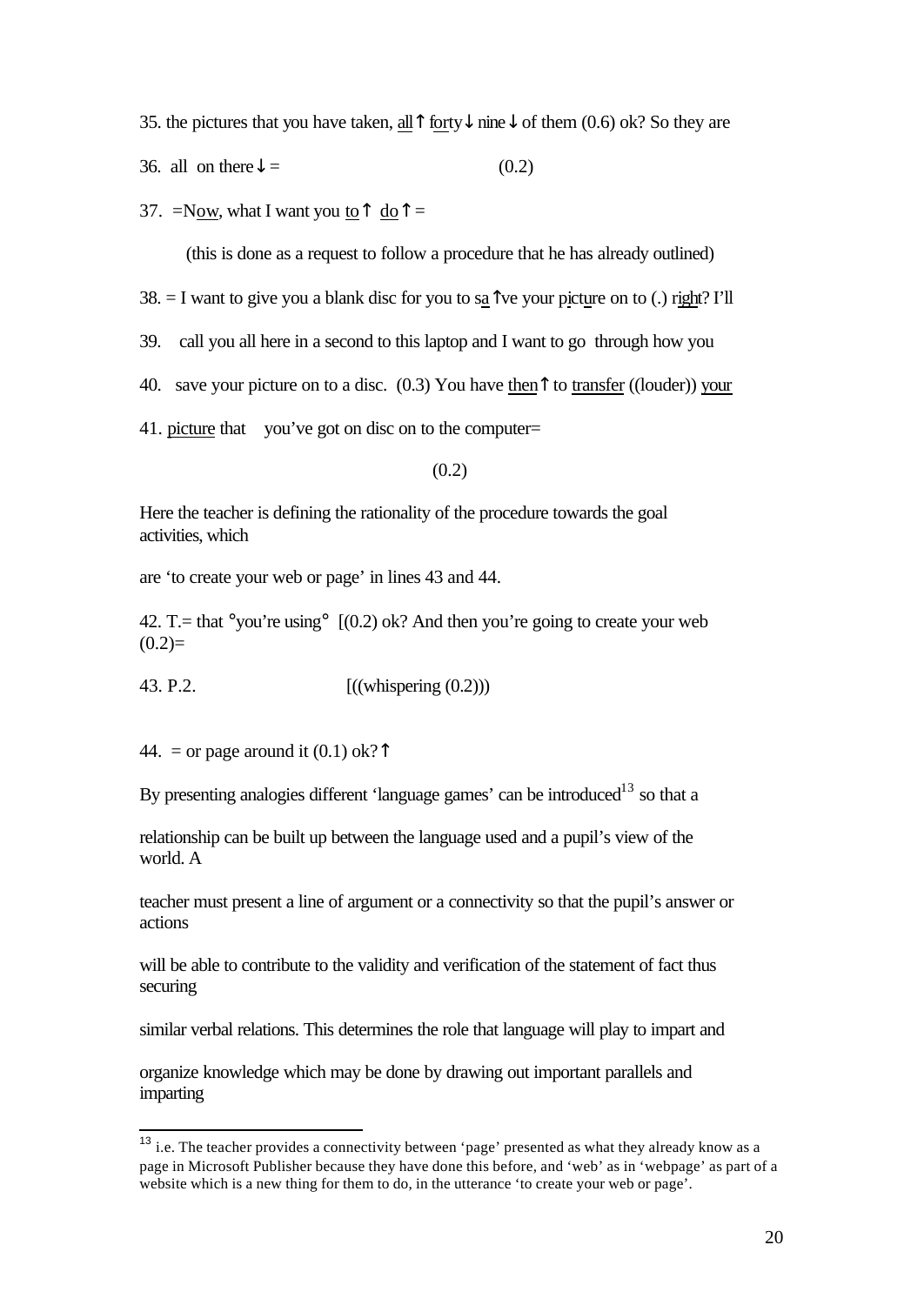35. the pictures that you have taken, all↑ forty $\downarrow$  nine $\downarrow$  of them (0.6) ok? So they are

36. all on there  $\downarrow$  = (0.2)

37. =Now, what I want you to  $\uparrow$  do  $\uparrow$  =

 (this is done as a request to follow a procedure that he has already outlined) 38. = I want to give you a blank disc for you to sa  $\hat{ }$  ve your picture on to (.) right? I'll 39. call you all here in a second to this laptop and I want to go through how you 40. save your picture on to a disc. (0.3) You have then↑ to transfer ((louder)) your 41. picture that you've got on disc on to the computer=

 $(0.2)$ 

Here the teacher is defining the rationality of the procedure towards the goal activities, which

are 'to create your web or page' in lines 43 and 44.

42. T .= that  $\degree$ you're using $\degree$  [(0.2) ok? And then you're going to create your web  $(0.2)=$ 

43. P.2. **[((whispering (0.2))** 

44. = or page around it  $(0.1)$  ok?

 $\overline{a}$ 

By presenting analogies different 'language games' can be introduced<sup>13</sup> so that a

relationship can be built up between the language used and a pupil's view of the world. A

teacher must present a line of argument or a connectivity so that the pupil's answer or actions

will be able to contribute to the validity and verification of the statement of fact thus securing

similar verbal relations. This determines the role that language will play to impart and

organize knowledge which may be done by drawing out important parallels and imparting

<sup>&</sup>lt;sup>13</sup> i.e. The teacher provides a connectivity between 'page' presented as what they already know as a page in Microsoft Publisher because they have done this before, and 'web' as in 'webpage' as part of a website which is a new thing for them to do, in the utterance 'to create your web or page'.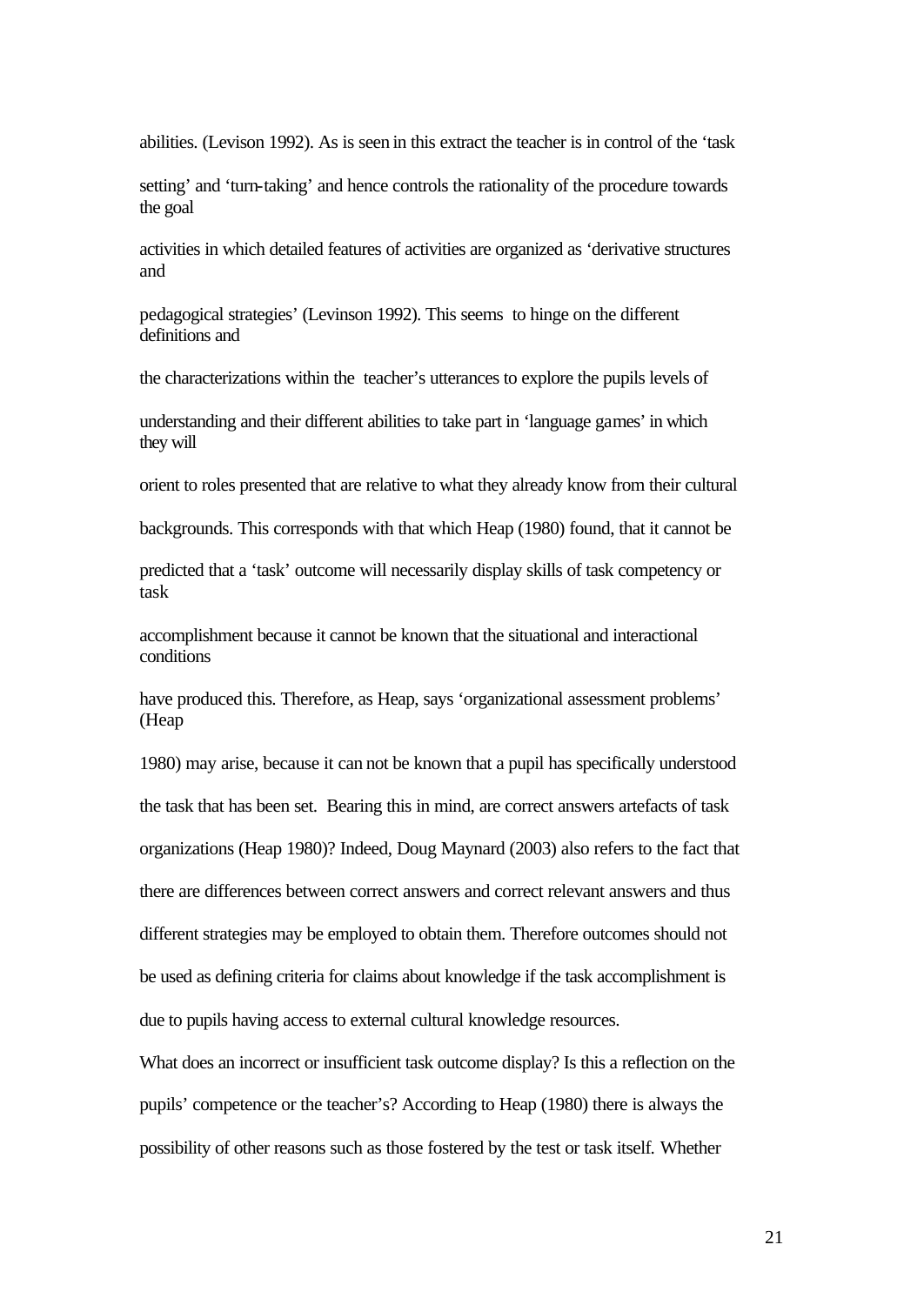abilities. (Levison 1992). As is seen in this extract the teacher is in control of the 'task

setting' and 'turn-taking' and hence controls the rationality of the procedure towards the goal

activities in which detailed features of activities are organized as 'derivative structures and

pedagogical strategies' (Levinson 1992). This seems to hinge on the different definitions and

the characterizations within the teacher's utterances to explore the pupils levels of

understanding and their different abilities to take part in 'language games' in which they will

orient to roles presented that are relative to what they already know from their cultural

backgrounds. This corresponds with that which Heap (1980) found, that it cannot be

predicted that a 'task' outcome will necessarily display skills of task competency or task

accomplishment because it cannot be known that the situational and interactional conditions

have produced this. Therefore, as Heap, says 'organizational assessment problems' (Heap

1980) may arise, because it can not be known that a pupil has specifically understood the task that has been set. Bearing this in mind, are correct answers artefacts of task organizations (Heap 1980)? Indeed, Doug Maynard (2003) also refers to the fact that there are differences between correct answers and correct relevant answers and thus different strategies may be employed to obtain them. Therefore outcomes should not be used as defining criteria for claims about knowledge if the task accomplishment is due to pupils having access to external cultural knowledge resources.

What does an incorrect or insufficient task outcome display? Is this a reflection on the pupils' competence or the teacher's? According to Heap (1980) there is always the possibility of other reasons such as those fostered by the test or task itself*.* Whether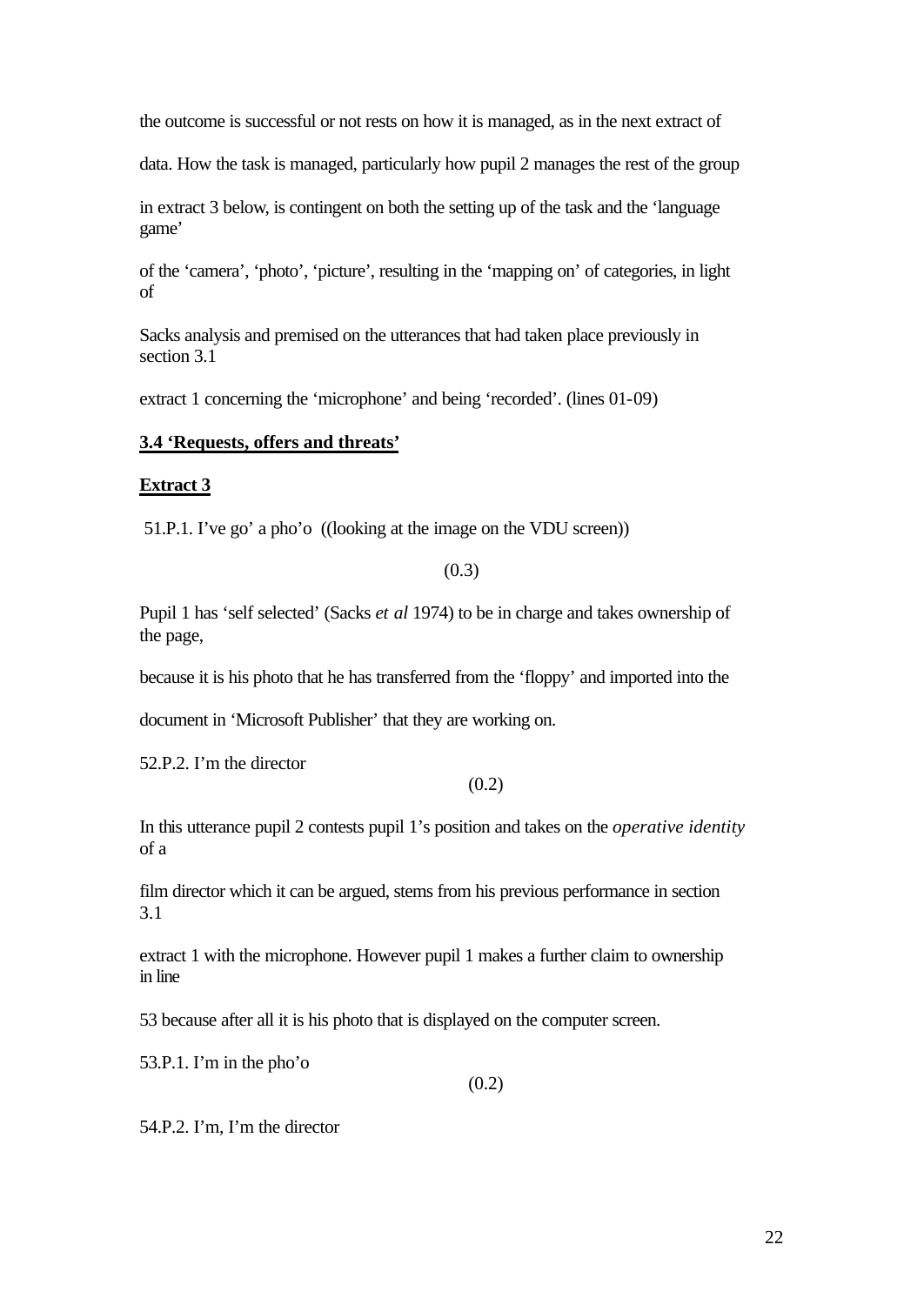the outcome is successful or not rests on how it is managed, as in the next extract of

data. How the task is managed, particularly how pupil 2 manages the rest of the group

in extract 3 below, is contingent on both the setting up of the task and the 'language game'

of the 'camera', 'photo', 'picture', resulting in the 'mapping on' of categories, in light of

Sacks analysis and premised on the utterances that had taken place previously in section 3.1

extract 1 concerning the 'microphone' and being 'recorded'. (lines 01-09)

# **3.4 'Requests, offers and threats'**

# **Extract 3**

51.P.1. I've go' a pho'o ((looking at the image on the VDU screen))

(0.3)

Pupil 1 has 'self selected' (Sacks *et al* 1974) to be in charge and takes ownership of the page,

because it is his photo that he has transferred from the 'floppy' and imported into the

document in 'Microsoft Publisher' that they are working on.

52.P.2. I'm the director

 $(0.2)$ 

In this utterance pupil 2 contests pupil 1's position and takes on the *operative identity* of a

film director which it can be argued, stems from his previous performance in section 3.1

extract 1 with the microphone. However pupil 1 makes a further claim to ownership in line

53 because after all it is his photo that is displayed on the computer screen.

53.P.1. I'm in the pho'o

 $(0.2)$ 

54.P.2. I'm, I'm the director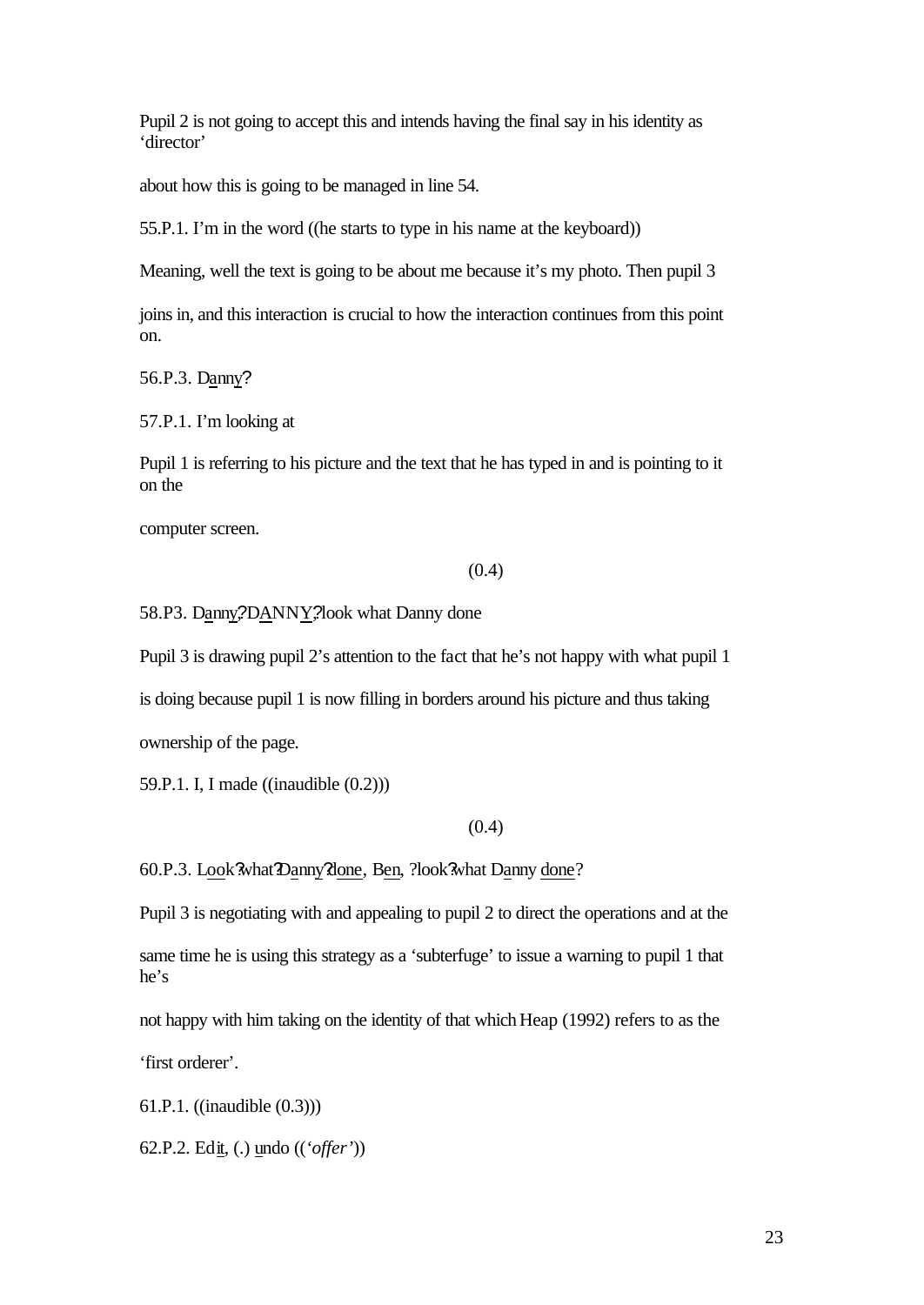Pupil 2 is not going to accept this and intends having the final say in his identity as 'director'

about how this is going to be managed in line 54.

55.P.1. I'm in the word ((he starts to type in his name at the keyboard))

Meaning, well the text is going to be about me because it's my photo. Then pupil 3

joins in, and this interaction is crucial to how the interaction continues from this point on.

56.P.3. Danny?

57.P.1. I'm looking at

Pupil 1 is referring to his picture and the text that he has typed in and is pointing to it on the

computer screen.

#### $(0.4)$

58.P3. Danny?DANNY?look what Danny done

Pupil 3 is drawing pupil 2's attention to the fact that he's not happy with what pupil 1

is doing because pupil 1 is now filling in borders around his picture and thus taking

ownership of the page.

59.P.1. I, I made ((inaudible (0.2)))

#### $(0.4)$

60.P.3. Look? what Danny? done, Ben, ?look? what Danny done?

Pupil 3 is negotiating with and appealing to pupil 2 to direct the operations and at the

same time he is using this strategy as a 'subterfuge' to issue a warning to pupil 1 that he's

not happy with him taking on the identity of that which Heap (1992) refers to as the

'first orderer'.

61.P.1. ((inaudible (0.3)))

62.P.2. Edit, (.) undo ((*'offer'*))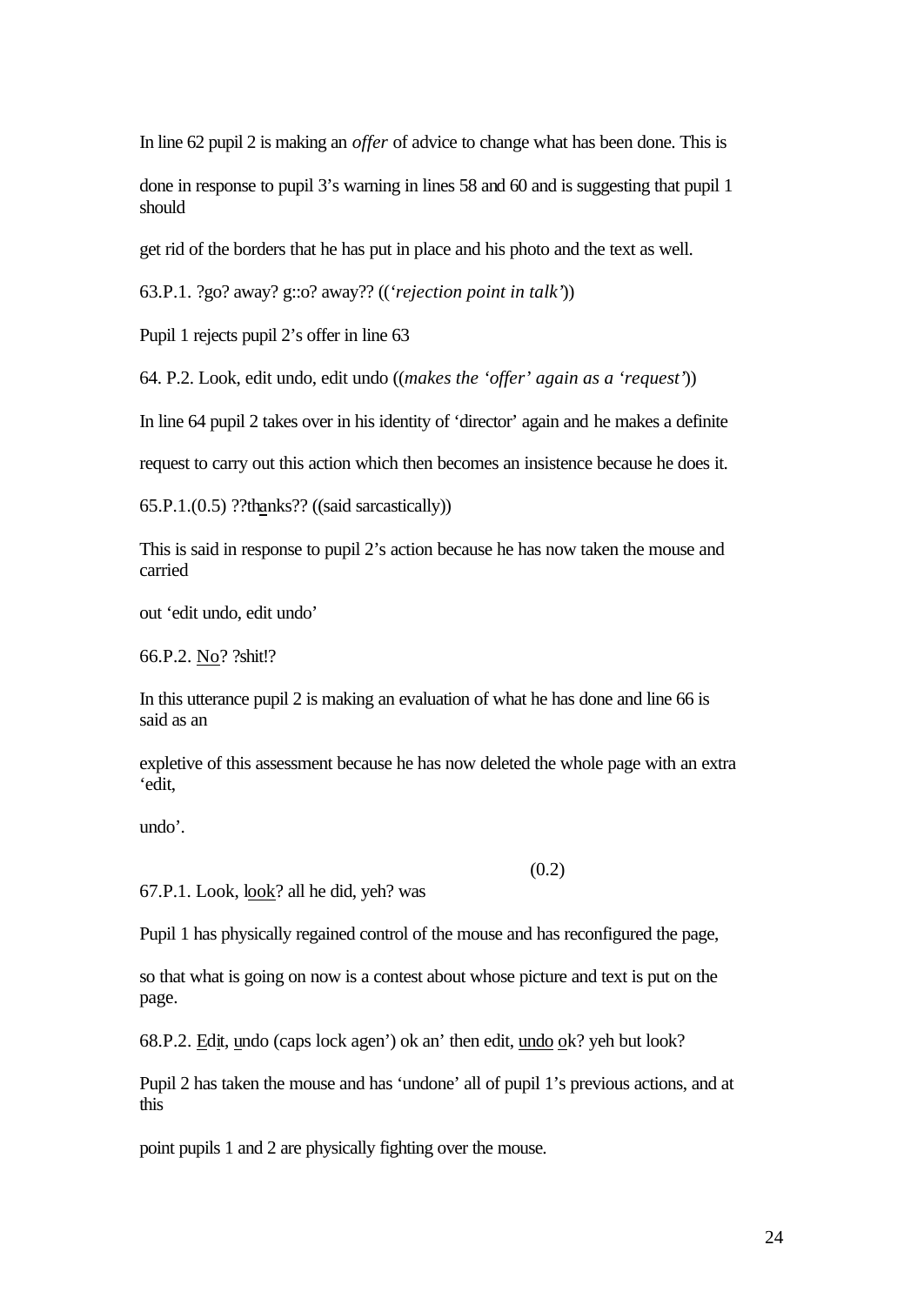In line 62 pupil 2 is making an *offer* of advice to change what has been done. This is

done in response to pupil 3's warning in lines 58 and 60 and is suggesting that pupil 1 should

get rid of the borders that he has put in place and his photo and the text as well.

63.P.1. ?go? away? g::o? away?? ((*'rejection point in talk'*))

Pupil 1 rejects pupil 2's offer in line 63

64. P.2. Look, edit undo, edit undo ((*makes the 'offer' again as a 'request'*))

In line 64 pupil 2 takes over in his identity of 'director' again and he makes a definite

request to carry out this action which then becomes an insistence because he does it.

65.P.1.(0.5) ??thanks?? ((said sarcastically))

This is said in response to pupil 2's action because he has now taken the mouse and carried

out 'edit undo, edit undo'

66.P.2. No? ?shit!?

In this utterance pupil 2 is making an evaluation of what he has done and line 66 is said as an

expletive of this assessment because he has now deleted the whole page with an extra 'edit,

(0.2)

undo'.

67.P.1. Look, look? all he did, yeh? was

Pupil 1 has physically regained control of the mouse and has reconfigured the page,

so that what is going on now is a contest about whose picture and text is put on the page.

68.P.2. Edit, undo (caps lock agen') ok an' then edit, undo ok? yeh but look?

Pupil 2 has taken the mouse and has 'undone' all of pupil 1's previous actions, and at this

point pupils 1 and 2 are physically fighting over the mouse.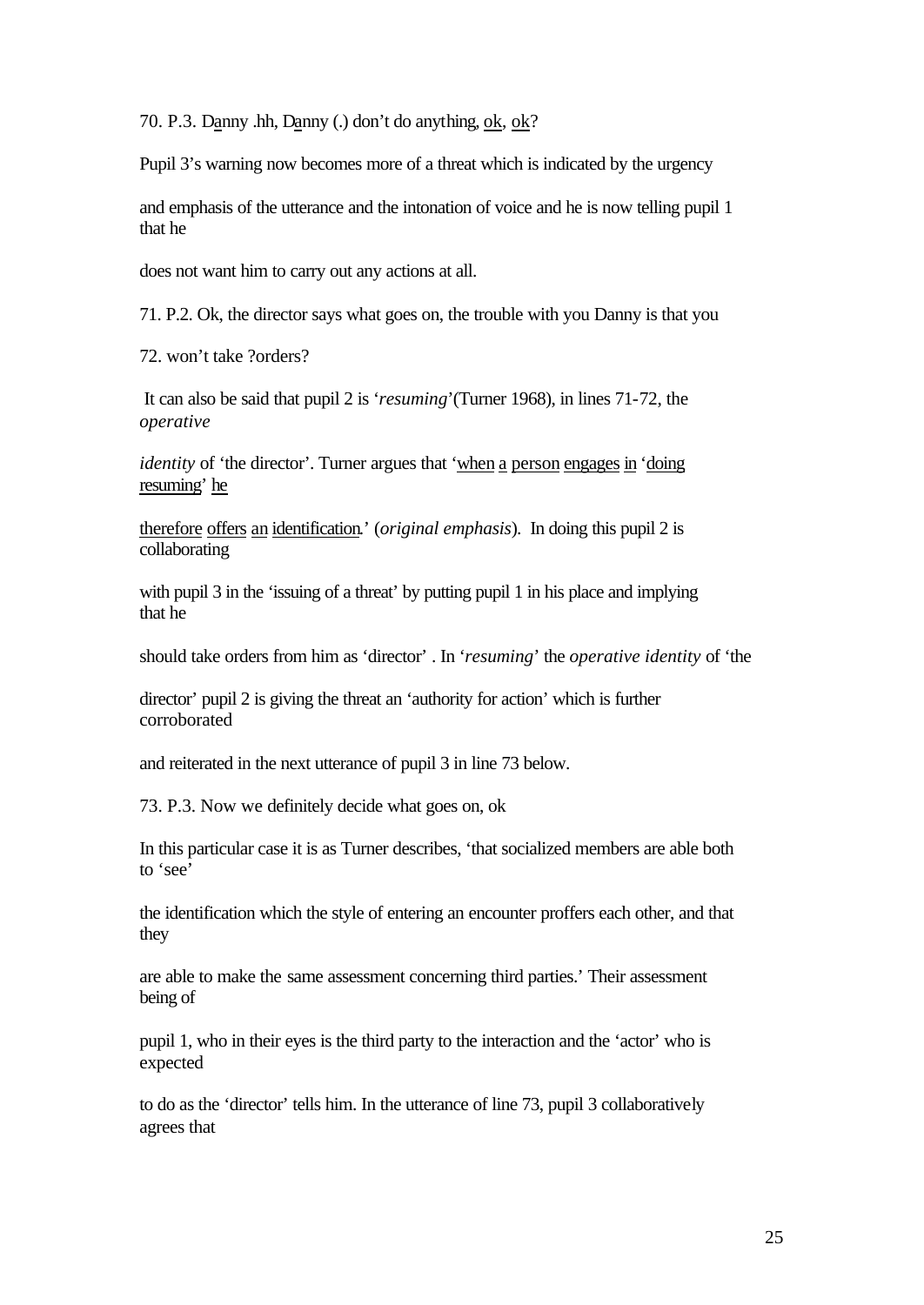70. P.3. Danny .hh, Danny (.) don't do anything, ok, ok?

Pupil 3's warning now becomes more of a threat which is indicated by the urgency

and emphasis of the utterance and the intonation of voice and he is now telling pupil 1 that he

does not want him to carry out any actions at all.

71. P.2. Ok, the director says what goes on, the trouble with you Danny is that you

72. won't take ?orders?

 It can also be said that pupil 2 is '*resuming*'(Turner 1968), in lines 71-72, the *operative* 

*identity* of 'the director'. Turner argues that 'when a person engages in 'doing resuming' he

therefore offers an identification.' (*original emphasis*). In doing this pupil 2 is collaborating

with pupil 3 in the 'issuing of a threat' by putting pupil 1 in his place and implying that he

should take orders from him as 'director' . In '*resuming*' the *operative identity* of 'the

director' pupil 2 is giving the threat an 'authority for action' which is further corroborated

and reiterated in the next utterance of pupil 3 in line 73 below.

73. P.3. Now we definitely decide what goes on, ok

In this particular case it is as Turner describes, 'that socialized members are able both to 'see'

the identification which the style of entering an encounter proffers each other, and that they

are able to make the same assessment concerning third parties.' Their assessment being of

pupil 1, who in their eyes is the third party to the interaction and the 'actor' who is expected

to do as the 'director' tells him. In the utterance of line 73, pupil 3 collaboratively agrees that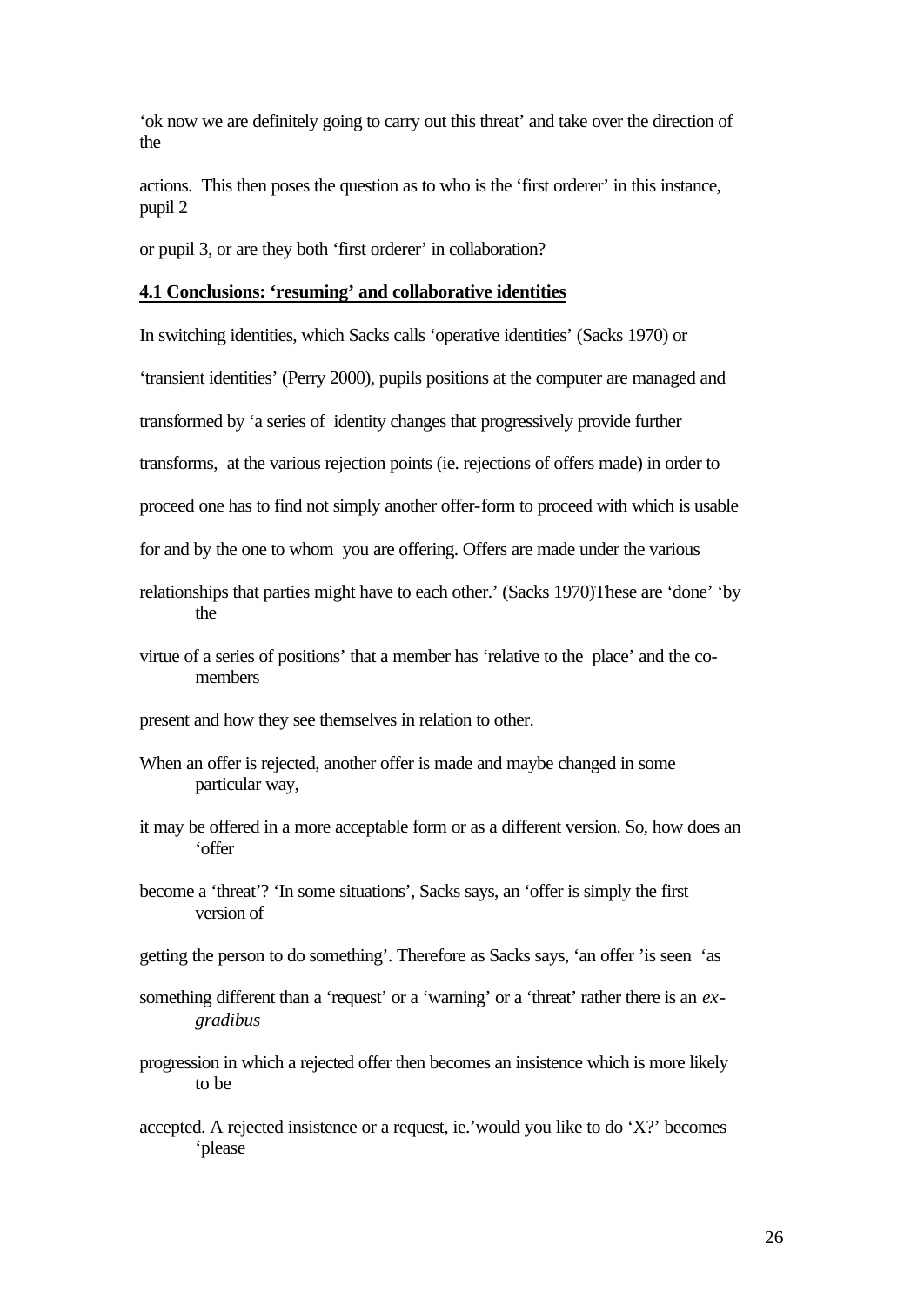'ok now we are definitely going to carry out this threat' and take over the direction of the

actions. This then poses the question as to who is the 'first orderer' in this instance, pupil 2

or pupil 3, or are they both 'first orderer' in collaboration?

#### **4.1 Conclusions: 'resuming' and collaborative identities**

In switching identities, which Sacks calls 'operative identities' (Sacks 1970) or

'transient identities' (Perry 2000), pupils positions at the computer are managed and

transformed by 'a series of identity changes that progressively provide further

transforms, at the various rejection points (ie. rejections of offers made) in order to

proceed one has to find not simply another offer-form to proceed with which is usable

for and by the one to whom you are offering. Offers are made under the various

- relationships that parties might have to each other.' (Sacks 1970)These are 'done' 'by the
- virtue of a series of positions' that a member has 'relative to the place' and the comembers
- present and how they see themselves in relation to other.
- When an offer is rejected, another offer is made and maybe changed in some particular way,
- it may be offered in a more acceptable form or as a different version. So, how does an 'offer
- become a 'threat'? 'In some situations', Sacks says, an 'offer is simply the first version of
- getting the person to do something'. Therefore as Sacks says, 'an offer 'is seen 'as
- something different than a 'request' or a 'warning' or a 'threat' rather there is an *exgradibus*
- progression in which a rejected offer then becomes an insistence which is more likely to be
- accepted. A rejected insistence or a request, ie.'would you like to do 'X?' becomes 'please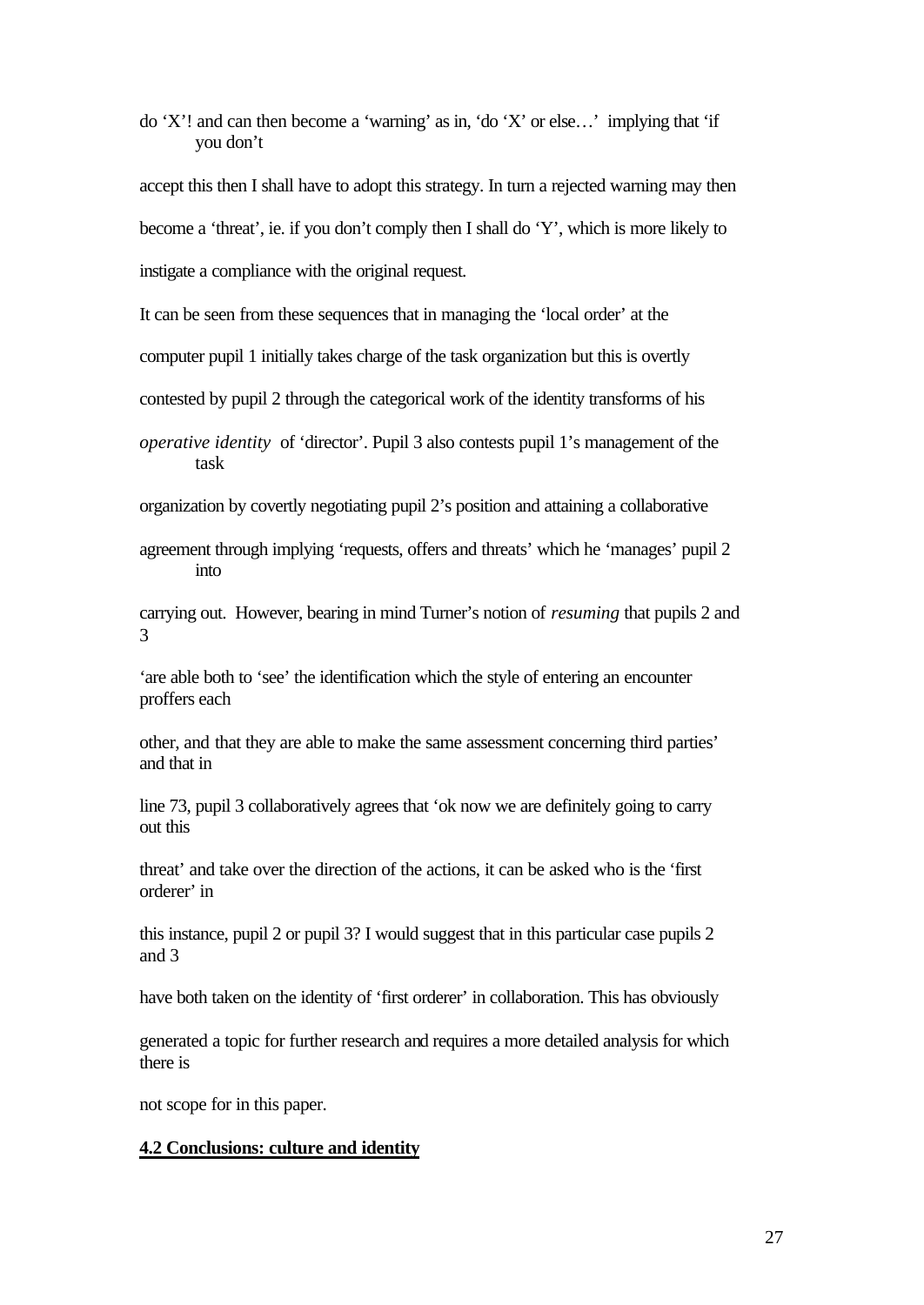do 'X'! and can then become a 'warning' as in, 'do 'X' or else…' implying that 'if you don't

accept this then I shall have to adopt this strategy. In turn a rejected warning may then become a 'threat', ie. if you don't comply then I shall do 'Y', which is more likely to instigate a compliance with the original request.

It can be seen from these sequences that in managing the 'local order' at the

computer pupil 1 initially takes charge of the task organization but this is overtly

contested by pupil 2 through the categorical work of the identity transforms of his

*operative identity* of 'director'. Pupil 3 also contests pupil 1's management of the task

organization by covertly negotiating pupil 2's position and attaining a collaborative

agreement through implying 'requests, offers and threats' which he 'manages' pupil 2 into

carrying out. However, bearing in mind Turner's notion of *resuming* that pupils 2 and 3

'are able both to 'see' the identification which the style of entering an encounter proffers each

other, and that they are able to make the same assessment concerning third parties' and that in

line 73, pupil 3 collaboratively agrees that 'ok now we are definitely going to carry out this

threat' and take over the direction of the actions, it can be asked who is the 'first orderer' in

this instance, pupil 2 or pupil 3? I would suggest that in this particular case pupils 2 and 3

have both taken on the identity of 'first orderer' in collaboration. This has obviously

generated a topic for further research and requires a more detailed analysis for which there is

not scope for in this paper.

#### **4.2 Conclusions: culture and identity**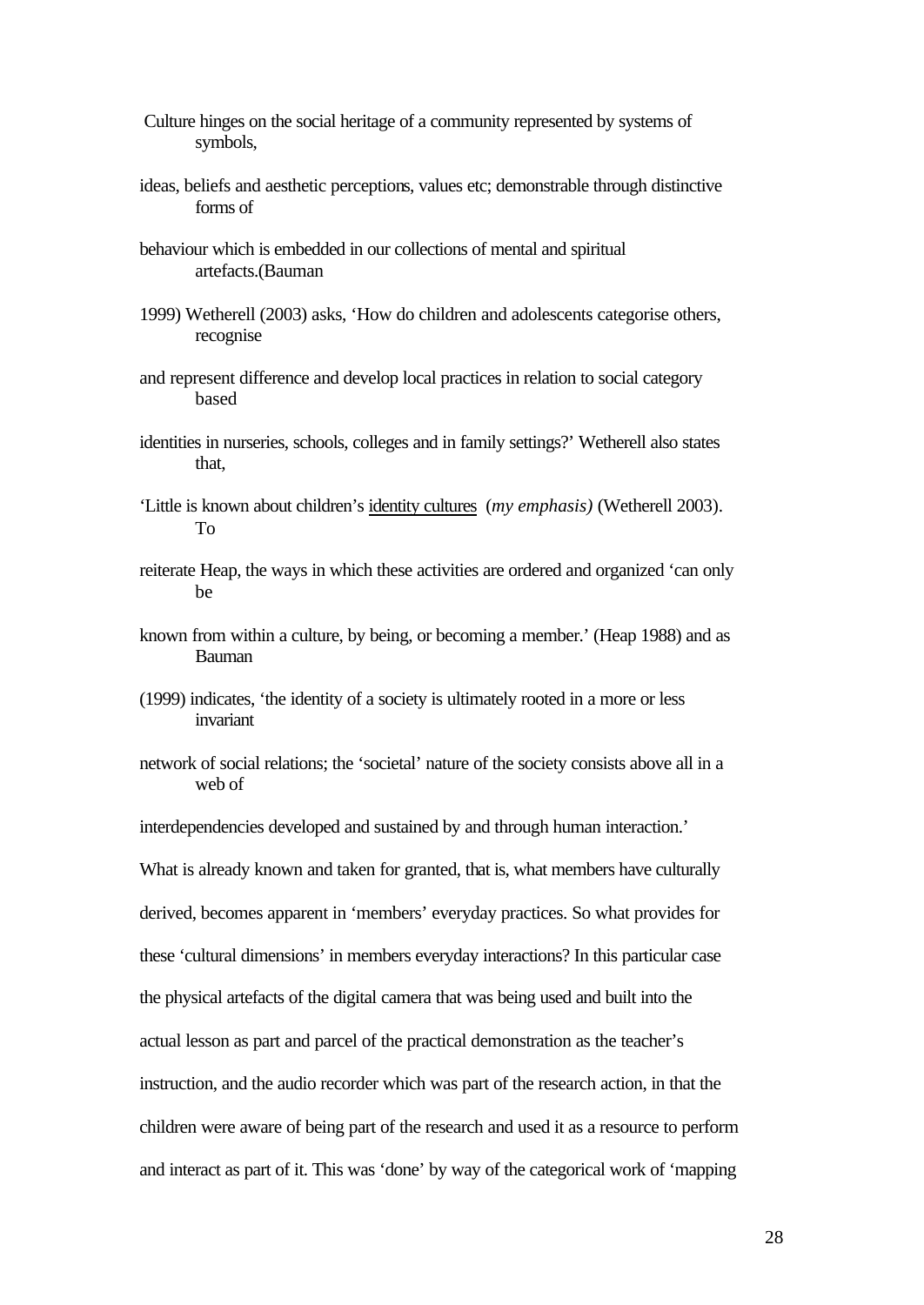- Culture hinges on the social heritage of a community represented by systems of symbols,
- ideas, beliefs and aesthetic perceptions, values etc; demonstrable through distinctive forms of
- behaviour which is embedded in our collections of mental and spiritual artefacts.(Bauman
- 1999) Wetherell (2003) asks, 'How do children and adolescents categorise others, recognise
- and represent difference and develop local practices in relation to social category based
- identities in nurseries, schools, colleges and in family settings?' Wetherell also states that,
- 'Little is known about children's identity cultures (*my emphasis)* (Wetherell 2003). To
- reiterate Heap, the ways in which these activities are ordered and organized 'can only be
- known from within a culture, by being, or becoming a member.' (Heap 1988) and as Bauman
- (1999) indicates, 'the identity of a society is ultimately rooted in a more or less invariant
- network of social relations; the 'societal' nature of the society consists above all in a web of

interdependencies developed and sustained by and through human interaction.'

What is already known and taken for granted, that is, what members have culturally derived, becomes apparent in 'members' everyday practices. So what provides for these 'cultural dimensions' in members everyday interactions? In this particular case the physical artefacts of the digital camera that was being used and built into the actual lesson as part and parcel of the practical demonstration as the teacher's instruction, and the audio recorder which was part of the research action, in that the children were aware of being part of the research and used it as a resource to perform and interact as part of it. This was 'done' by way of the categorical work of 'mapping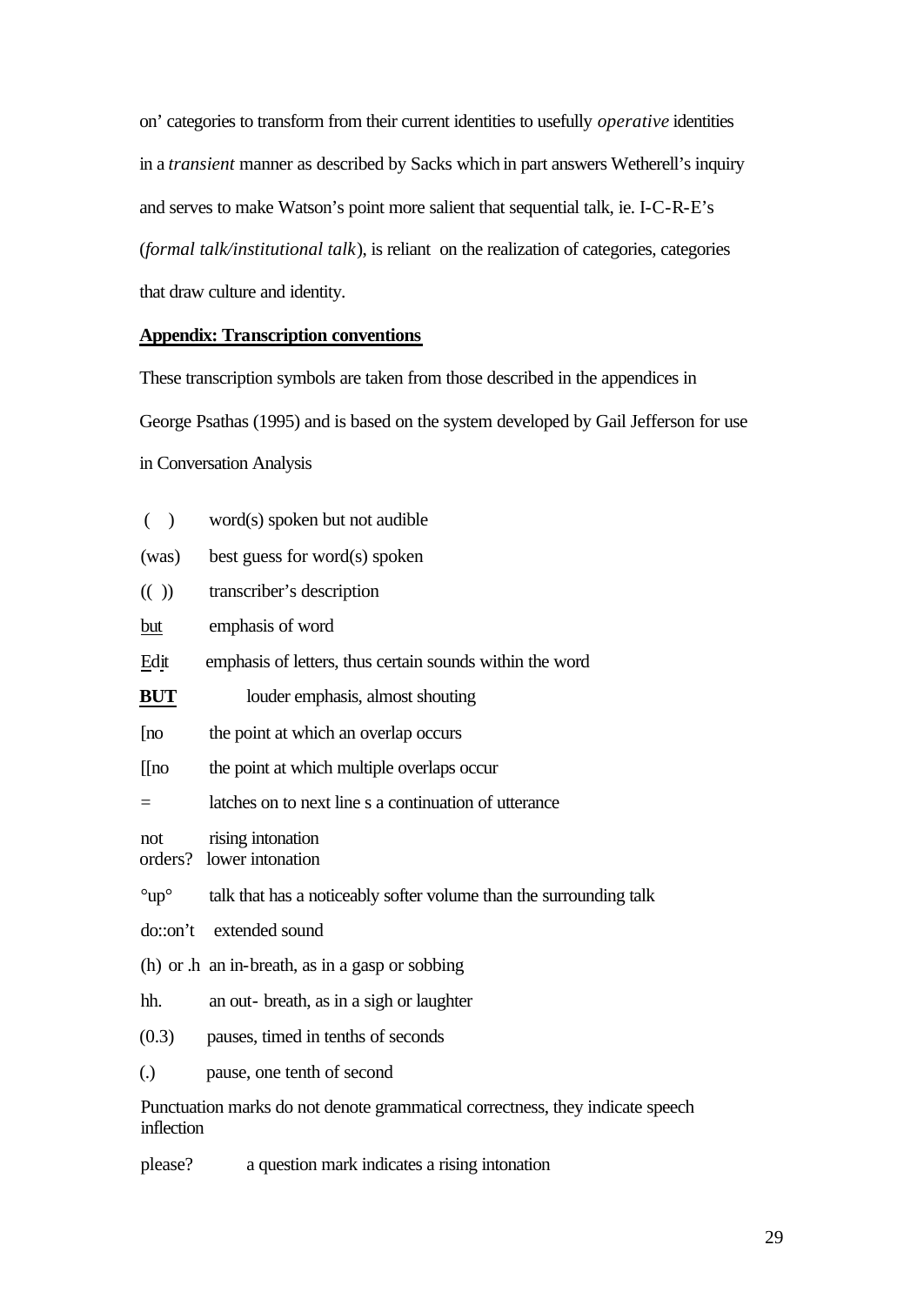on' categories to transform from their current identities to usefully *operative* identities in a *transient* manner as described by Sacks which in part answers Wetherell's inquiry and serves to make Watson's point more salient that sequential talk, ie. I-C-R-E's (*formal talk/institutional talk*), is reliant on the realization of categories, categories that draw culture and identity.

### **Appendix: Transcription conventions**

These transcription symbols are taken from those described in the appendices in George Psathas (1995) and is based on the system developed by Gail Jefferson for use in Conversation Analysis

| $($ )                                                                                       | word(s) spoken but not audible                                     |
|---------------------------------------------------------------------------------------------|--------------------------------------------------------------------|
| (was)                                                                                       | best guess for word(s) spoken                                      |
| (()                                                                                         | transcriber's description                                          |
| $but$                                                                                       | emphasis of word                                                   |
| Edit                                                                                        | emphasis of letters, thus certain sounds within the word           |
| <b>BUT</b>                                                                                  | louder emphasis, almost shouting                                   |
| [no                                                                                         | the point at which an overlap occurs                               |
| $[$ [no]                                                                                    | the point at which multiple overlaps occur                         |
| $\equiv$                                                                                    | latches on to next line s a continuation of utterance              |
| not                                                                                         | rising intonation<br>orders? lower intonation                      |
| $^{\circ}$ up $^{\circ}$                                                                    | talk that has a noticeably softer volume than the surrounding talk |
|                                                                                             | do::on't extended sound                                            |
|                                                                                             | (h) or .h an in-breath, as in a gasp or sobbing                    |
| hh.                                                                                         | an out-breath, as in a sigh or laughter                            |
| (0.3)                                                                                       | pauses, timed in tenths of seconds                                 |
| $\left( .\right)$                                                                           | pause, one tenth of second                                         |
| Punctuation marks do not denote grammatical correctness, they indicate speech<br>inflection |                                                                    |

please? a question mark indicates a rising intonation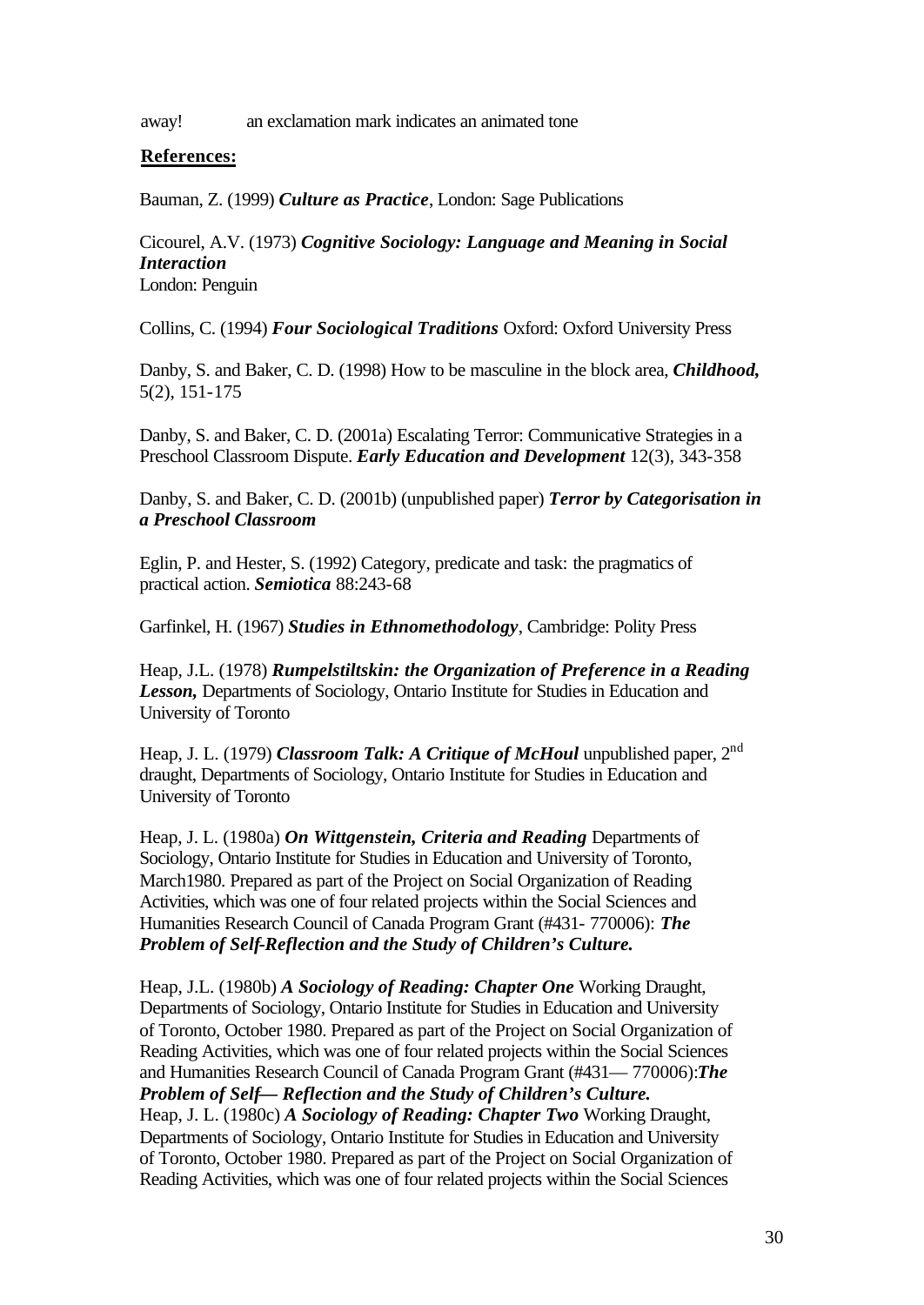away! an exclamation mark indicates an animated tone

### **References:**

Bauman, Z. (1999) *Culture as Practice*, London: Sage Publications

Cicourel, A.V. (1973) *Cognitive Sociology: Language and Meaning in Social Interaction* London: Penguin

Collins, C. (1994) *Four Sociological Traditions* Oxford: Oxford University Press

Danby, S. and Baker, C. D. (1998) How to be masculine in the block area, *Childhood,*  5(2), 151-175

Danby, S. and Baker, C. D. (2001a) Escalating Terror: Communicative Strategies in a Preschool Classroom Dispute. *Early Education and Development* 12(3), 343-358

Danby, S. and Baker, C. D. (2001b) (unpublished paper) *Terror by Categorisation in a Preschool Classroom* 

Eglin, P. and Hester, S. (1992) Category, predicate and task: the pragmatics of practical action. *Semiotica* 88:243-68

Garfinkel, H. (1967) *Studies in Ethnomethodology*, Cambridge: Polity Press

Heap, J.L. (1978) *Rumpelstiltskin: the Organization of Preference in a Reading Lesson,* Departments of Sociology, Ontario Institute for Studies in Education and University of Toronto

Heap, J. L. (1979) *Classroom Talk: A Critique of McHoul* unpublished paper, 2nd draught, Departments of Sociology, Ontario Institute for Studies in Education and University of Toronto

Heap, J. L. (1980a) *On Wittgenstein, Criteria and Reading* Departments of Sociology, Ontario Institute for Studies in Education and University of Toronto, March1980. Prepared as part of the Project on Social Organization of Reading Activities, which was one of four related projects within the Social Sciences and Humanities Research Council of Canada Program Grant (#431- 770006): *The Problem of Self-Reflection and the Study of Children's Culture.*

Heap, J.L. (1980b) *A Sociology of Reading: Chapter One* Working Draught, Departments of Sociology, Ontario Institute for Studies in Education and University of Toronto, October 1980. Prepared as part of the Project on Social Organization of Reading Activities, which was one of four related projects within the Social Sciences and Humanities Research Council of Canada Program Grant (#431— 770006):*The Problem of Self— Reflection and the Study of Children's Culture.* Heap, J. L. (1980c) *A Sociology of Reading: Chapter Two* Working Draught, Departments of Sociology, Ontario Institute for Studies in Education and University of Toronto, October 1980. Prepared as part of the Project on Social Organization of Reading Activities, which was one of four related projects within the Social Sciences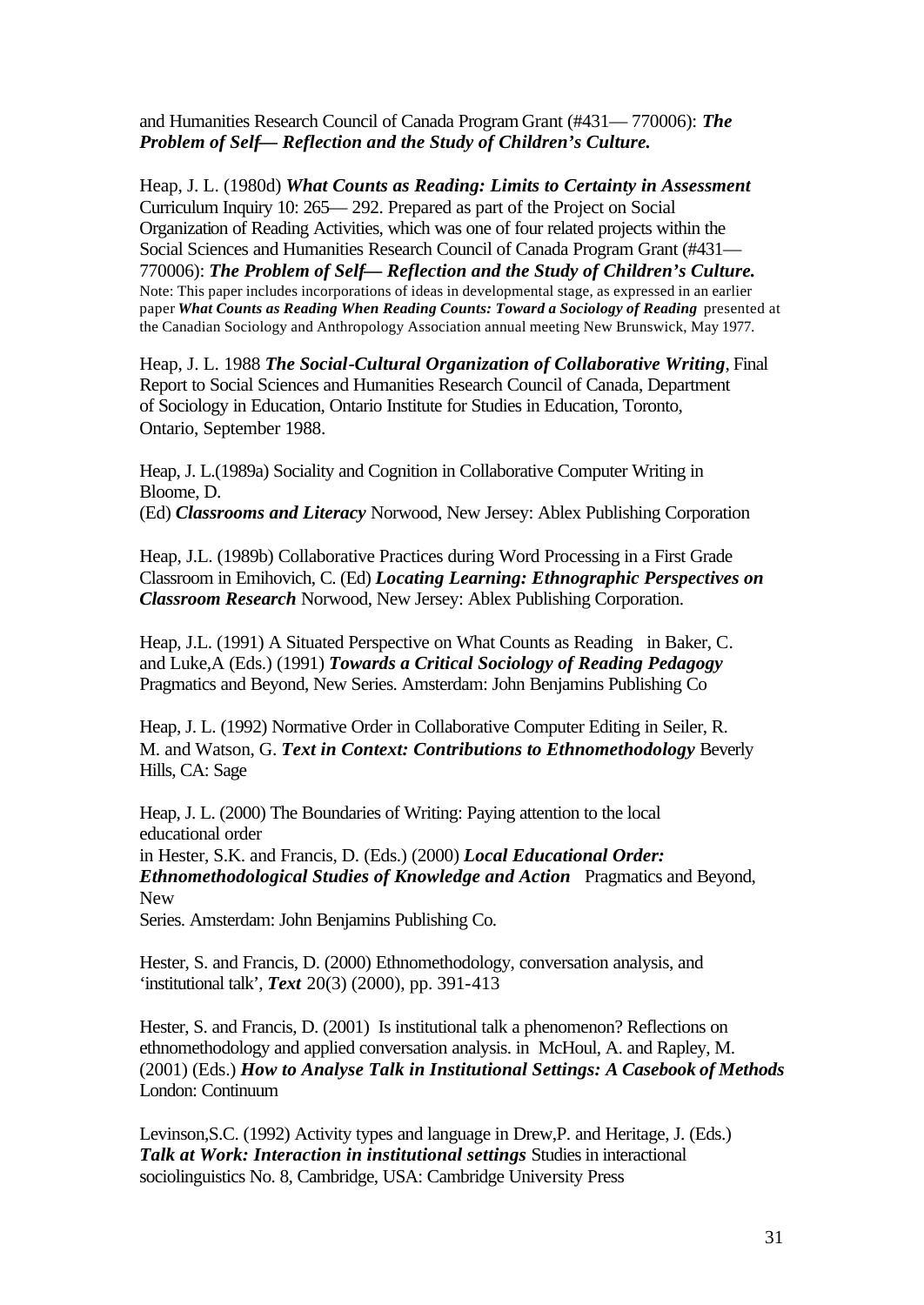and Humanities Research Council of Canada Program Grant (#431— 770006): *The Problem of Self— Reflection and the Study of Children's Culture.*

Heap, J. L. (1980d) *What Counts as Reading: Limits to Certainty in Assessment*  Curriculum Inquiry 10: 265— 292. Prepared as part of the Project on Social Organization of Reading Activities, which was one of four related projects within the Social Sciences and Humanities Research Council of Canada Program Grant (#431— 770006): *The Problem of Self— Reflection and the Study of Children's Culture.* Note: This paper includes incorporations of ideas in developmental stage, as expressed in an earlier paper What Counts as Reading When Reading Counts: Toward a Sociology of Reading presented at the Canadian Sociology and Anthropology Association annual meeting New Brunswick, May 1977.

Heap, J. L. 1988 *The Social-Cultural Organization of Collaborative Writing*, Final Report to Social Sciences and Humanities Research Council of Canada, Department of Sociology in Education, Ontario Institute for Studies in Education, Toronto, Ontario, September 1988.

Heap, J. L.(1989a) Sociality and Cognition in Collaborative Computer Writing in Bloome, D. (Ed) *Classrooms and Literacy* Norwood, New Jersey: Ablex Publishing Corporation

Heap, J.L. (1989b) Collaborative Practices during Word Processing in a First Grade Classroom in Emihovich, C. (Ed) *Locating Learning: Ethnographic Perspectives on Classroom Research* Norwood, New Jersey: Ablex Publishing Corporation.

Heap, J.L. (1991) A Situated Perspective on What Counts as Reading in Baker, C. and Luke,A (Eds.) (1991) *Towards a Critical Sociology of Reading Pedagogy*  Pragmatics and Beyond, New Series. Amsterdam: John Benjamins Publishing Co

Heap, J. L. (1992) Normative Order in Collaborative Computer Editing in Seiler, R. M. and Watson, G. *Text in Context: Contributions to Ethnomethodology* Beverly Hills, CA: Sage

Heap, J. L. (2000) The Boundaries of Writing: Paying attention to the local educational order in Hester, S.K. and Francis, D. (Eds.) (2000) *Local Educational Order: Ethnomethodological Studies of Knowledge and Action* Pragmatics and Beyond, New

Series. Amsterdam: John Benjamins Publishing Co.

Hester, S. and Francis, D. (2000) Ethnomethodology, conversation analysis, and 'institutional talk', *Text* 20(3) (2000), pp. 391-413

Hester, S. and Francis, D. (2001) Is institutional talk a phenomenon? Reflections on ethnomethodology and applied conversation analysis. in McHoul, A. and Rapley, M. (2001) (Eds.) *How to Analyse Talk in Institutional Settings: A Casebook of Methods*  London: Continuum

Levinson,S.C. (1992) Activity types and language in Drew,P. and Heritage, J. (Eds.) *Talk at Work: Interaction in institutional settings* Studies in interactional sociolinguistics No. 8, Cambridge, USA: Cambridge University Press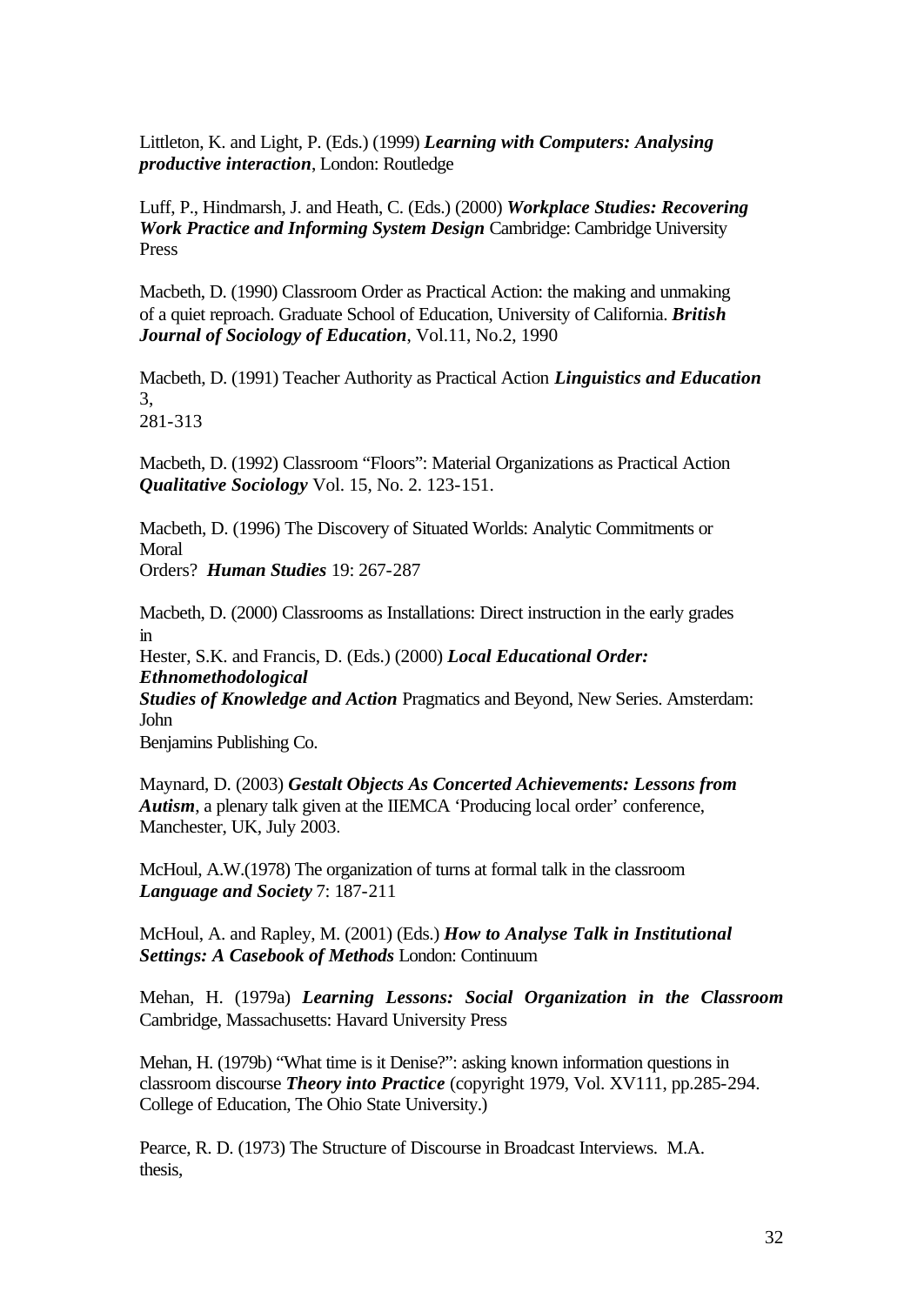Littleton, K. and Light, P. (Eds.) (1999) *Learning with Computers: Analysing productive interaction*, London: Routledge

Luff, P., Hindmarsh, J. and Heath, C. (Eds.) (2000) *Workplace Studies: Recovering Work Practice and Informing System Design* Cambridge: Cambridge University Press

Macbeth, D. (1990) Classroom Order as Practical Action: the making and unmaking of a quiet reproach. Graduate School of Education, University of California. *British Journal of Sociology of Education*, Vol.11, No.2, 1990

Macbeth, D. (1991) Teacher Authority as Practical Action *Linguistics and Education*  3, 281-313

Macbeth, D. (1992) Classroom "Floors": Material Organizations as Practical Action *Qualitative Sociology* Vol. 15, No. 2. 123-151.

Macbeth, D. (1996) The Discovery of Situated Worlds: Analytic Commitments or Moral Orders? *Human Studies* 19: 267-287

Macbeth, D. (2000) Classrooms as Installations: Direct instruction in the early grades in

Hester, S.K. and Francis, D. (Eds.) (2000) *Local Educational Order: Ethnomethodological* 

*Studies of Knowledge and Action* Pragmatics and Beyond, New Series. Amsterdam: John

Benjamins Publishing Co.

Maynard, D. (2003) *Gestalt Objects As Concerted Achievements: Lessons from Autism*, a plenary talk given at the IIEMCA 'Producing local order' conference, Manchester, UK, July 2003.

McHoul, A.W.(1978) The organization of turns at formal talk in the classroom *Language and Society* 7: 187-211

McHoul, A. and Rapley, M. (2001) (Eds.) *How to Analyse Talk in Institutional Settings: A Casebook of Methods* London: Continuum

Mehan, H. (1979a) *Learning Lessons: Social Organization in the Classroom* Cambridge, Massachusetts: Havard University Press

Mehan, H. (1979b) "What time is it Denise?": asking known information questions in classroom discourse *Theory into Practice* (copyright 1979, Vol. XV111, pp.285-294. College of Education, The Ohio State University.)

Pearce, R. D. (1973) The Structure of Discourse in Broadcast Interviews. M.A. thesis,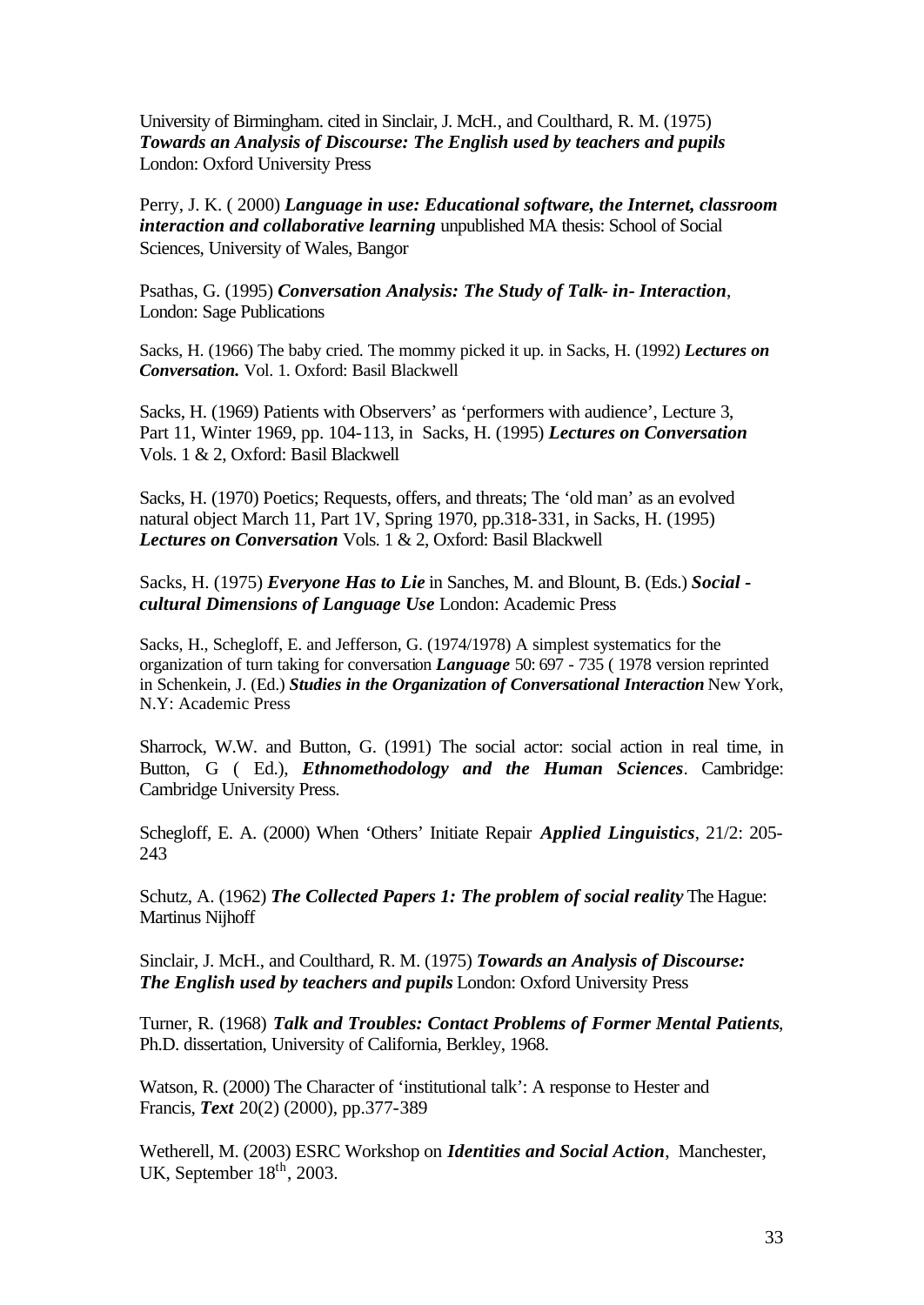University of Birmingham. cited in Sinclair, J. McH., and Coulthard, R. M. (1975) *Towards an Analysis of Discourse: The English used by teachers and pupils*  London: Oxford University Press

Perry, J. K. ( 2000) *Language in use: Educational software, the Internet, classroom interaction and collaborative learning* unpublished MA thesis: School of Social Sciences, University of Wales, Bangor

Psathas, G. (1995) *Conversation Analysis: The Study of Talk- in- Interaction*, London: Sage Publications

Sacks, H. (1966) The baby cried. The mommy picked it up. in Sacks, H. (1992) *Lectures on Conversation.* Vol. 1. Oxford: Basil Blackwell

Sacks, H. (1969) Patients with Observers' as 'performers with audience', Lecture 3, Part 11, Winter 1969, pp. 104-113, in Sacks, H. (1995) *Lectures on Conversation*  Vols. 1 & 2, Oxford: Basil Blackwell

Sacks, H. (1970) Poetics; Requests, offers, and threats; The 'old man' as an evolved natural object March 11, Part 1V, Spring 1970, pp.318-331, in Sacks, H. (1995) *Lectures on Conversation* Vols. 1 & 2, Oxford: Basil Blackwell

Sacks, H. (1975) *Everyone Has to Lie* in Sanches, M. and Blount, B. (Eds.) *Social cultural Dimensions of Language Use* London: Academic Press

Sacks, H., Schegloff, E. and Jefferson, G. (1974/1978) A simplest systematics for the organization of turn taking for conversation *Language* 50: 697 - 735 ( 1978 version reprinted in Schenkein, J. (Ed.) *Studies in the Organization of Conversational Interaction* New York, N.Y: Academic Press

Sharrock, W.W. and Button, G. (1991) The social actor: social action in real time, in Button, G ( Ed.), *Ethnomethodology and the Human Sciences*. Cambridge: Cambridge University Press.

Schegloff, E. A. (2000) When 'Others' Initiate Repair *Applied Linguistics*, 21/2: 205- 243

Schutz, A. (1962) *The Collected Papers 1: The problem of social reality* The Hague: Martinus Nijhoff

Sinclair, J. McH., and Coulthard, R. M. (1975) *Towards an Analysis of Discourse: The English used by teachers and pupils* London: Oxford University Press

Turner, R. (1968) *Talk and Troubles: Contact Problems of Former Mental Patients*, Ph.D. dissertation, University of California, Berkley, 1968.

Watson, R. (2000) The Character of 'institutional talk': A response to Hester and Francis, *Text* 20(2) (2000), pp.377-389

Wetherell, M. (2003) ESRC Workshop on *Identities and Social Action*, Manchester, UK, September  $18<sup>th</sup>$ , 2003.